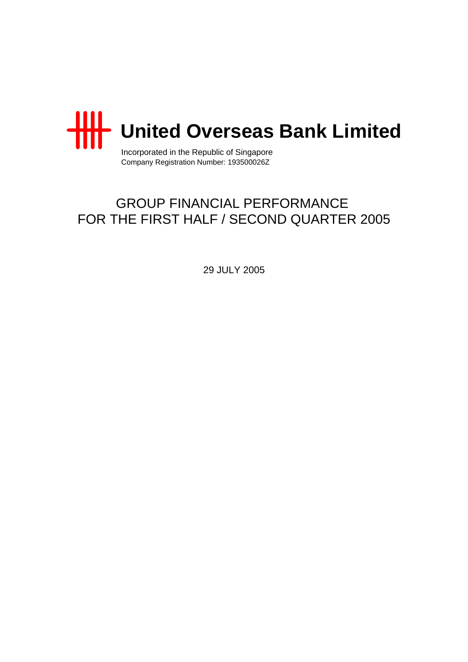

Incorporated in the Republic of Singapore Company Registration Number: 193500026Z

# GROUP FINANCIAL PERFORMANCE FOR THE FIRST HALF / SECOND QUARTER 2005

29 JULY 2005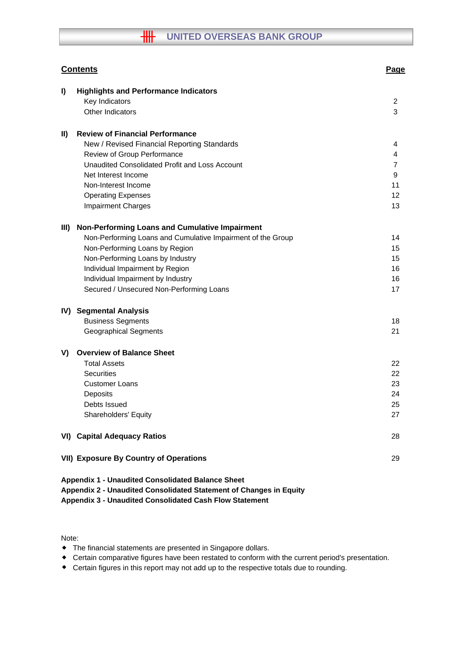## **WHIGHT WATER OVERSEAS BANK GROUP**

|               | <b>Contents</b>                                                                                                                                                                           | <b>Page</b> |
|---------------|-------------------------------------------------------------------------------------------------------------------------------------------------------------------------------------------|-------------|
| I)            | <b>Highlights and Performance Indicators</b>                                                                                                                                              |             |
|               | Key Indicators                                                                                                                                                                            | 2           |
|               | Other Indicators                                                                                                                                                                          | 3           |
| $\mathbf{II}$ | <b>Review of Financial Performance</b>                                                                                                                                                    |             |
|               | New / Revised Financial Reporting Standards                                                                                                                                               | 4           |
|               | Review of Group Performance                                                                                                                                                               | 4           |
|               | Unaudited Consolidated Profit and Loss Account                                                                                                                                            | 7           |
|               | Net Interest Income                                                                                                                                                                       | 9           |
|               | Non-Interest Income                                                                                                                                                                       | 11          |
|               | <b>Operating Expenses</b>                                                                                                                                                                 | 12          |
|               | <b>Impairment Charges</b>                                                                                                                                                                 | 13          |
| III)          | Non-Performing Loans and Cumulative Impairment                                                                                                                                            |             |
|               | Non-Performing Loans and Cumulative Impairment of the Group                                                                                                                               | 14          |
|               | Non-Performing Loans by Region                                                                                                                                                            | 15          |
|               | Non-Performing Loans by Industry                                                                                                                                                          | 15          |
|               | Individual Impairment by Region                                                                                                                                                           | 16          |
|               | Individual Impairment by Industry                                                                                                                                                         | 16          |
|               | Secured / Unsecured Non-Performing Loans                                                                                                                                                  | 17          |
|               | IV) Segmental Analysis                                                                                                                                                                    |             |
|               | <b>Business Segments</b>                                                                                                                                                                  | 18          |
|               | <b>Geographical Segments</b>                                                                                                                                                              | 21          |
| V)            | <b>Overview of Balance Sheet</b>                                                                                                                                                          |             |
|               | <b>Total Assets</b>                                                                                                                                                                       | 22          |
|               | <b>Securities</b>                                                                                                                                                                         | 22          |
|               | <b>Customer Loans</b>                                                                                                                                                                     | 23          |
|               | Deposits                                                                                                                                                                                  | 24          |
|               | Debts Issued                                                                                                                                                                              | 25          |
|               | Shareholders' Equity                                                                                                                                                                      | 27          |
|               | <b>VI) Capital Adequacy Ratios</b>                                                                                                                                                        | 28          |
|               | <b>VII) Exposure By Country of Operations</b>                                                                                                                                             | 29          |
|               | <b>Appendix 1 - Unaudited Consolidated Balance Sheet</b><br>Appendix 2 - Unaudited Consolidated Statement of Changes in Equity<br>Appendix 3 - Unaudited Consolidated Cash Flow Statement |             |

Note:

- The financial statements are presented in Singapore dollars.
- Certain comparative figures have been restated to conform with the current period's presentation.
- Certain figures in this report may not add up to the respective totals due to rounding.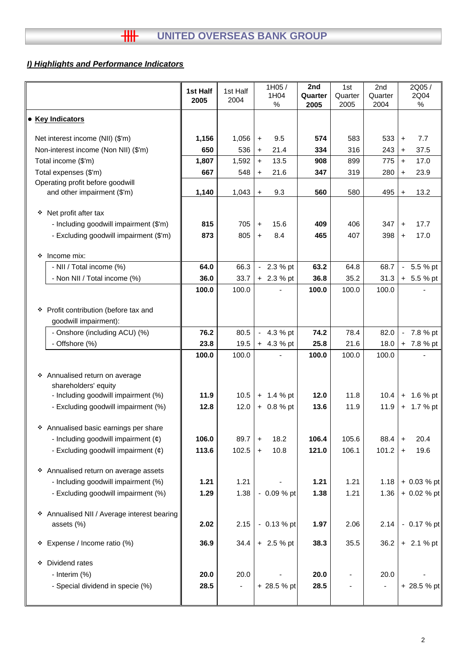## *I) Highlights and Performance Indicators*

|   |                                                                                | 1st Half<br>2005 | 1st Half<br>2004 |                    | 1H05/<br>1H04<br>% | 2nd<br>Quarter<br>2005 | 1st<br>Quarter<br>2005 | 2nd<br>Quarter<br>2004 |                  | 2Q05/<br>2Q04<br>$\%$ |
|---|--------------------------------------------------------------------------------|------------------|------------------|--------------------|--------------------|------------------------|------------------------|------------------------|------------------|-----------------------|
|   | • Key Indicators                                                               |                  |                  |                    |                    |                        |                        |                        |                  |                       |
|   | Net interest income (NII) (\$'m)                                               | 1,156            | 1,056            | $\ddot{}$          | 9.5                | 574                    | 583                    | 533                    | $+$              | 7.7                   |
|   | Non-interest income (Non NII) (\$'m)                                           | 650              | 536              | $\pm$              | 21.4               | 334                    | 316                    | 243                    | $\pm$            | 37.5                  |
|   | Total income (\$'m)                                                            | 1,807            | 1,592            | $+$                | 13.5               | 908                    | 899                    | 775                    | $+$              | 17.0                  |
|   | Total expenses (\$'m)                                                          | 667              | 548              | $\ddot{}$          | 21.6               | 347                    | 319                    | 280                    | $+$              | 23.9                  |
|   | Operating profit before goodwill<br>and other impairment (\$'m)                | 1,140            | 1,043            | $\pm$              | 9.3                | 560                    | 580                    | 495                    | $+$              | 13.2                  |
|   |                                                                                |                  |                  |                    |                    |                        |                        |                        |                  |                       |
| ❖ | Net profit after tax                                                           |                  |                  |                    |                    |                        |                        |                        |                  |                       |
|   | - Including goodwill impairment (\$'m)                                         | 815              | 705              | $\pm$              | 15.6               | 409                    | 406                    | 347                    | $\pm$            | 17.7                  |
|   | - Excluding goodwill impairment (\$'m)                                         | 873              | 805              | $+$                | 8.4                | 465                    | 407                    | 398                    | $+$              | 17.0                  |
|   |                                                                                |                  |                  |                    |                    |                        |                        |                        |                  |                       |
| ❖ | Income mix:<br>- NII / Total income (%)                                        | 64.0             | 66.3             |                    | $-2.3%$ pt         | 63.2                   | 64.8                   | 68.7                   |                  | $-5.5%$ pt            |
|   | - Non NII / Total income (%)                                                   | 36.0             | 33.7             |                    | $+ 2.3 %$ pt       | 36.8                   | 35.2                   | 31.3                   |                  | $+ 5.5 %$ pt          |
|   |                                                                                | 100.0            | 100.0            |                    |                    | 100.0                  | 100.0                  | 100.0                  |                  |                       |
|   |                                                                                |                  |                  |                    |                    |                        |                        |                        |                  |                       |
|   | * Profit contribution (before tax and                                          |                  |                  |                    |                    |                        |                        |                        |                  |                       |
|   | goodwill impairment):                                                          |                  |                  |                    |                    |                        |                        |                        |                  |                       |
|   | - Onshore (including ACU) (%)                                                  | 76.2             | 80.5             |                    | $-4.3%$ pt         | 74.2                   | 78.4                   | 82.0                   |                  | $-7.8%$ pt            |
|   | - Offshore (%)                                                                 | 23.8             | 19.5             |                    | $+ 4.3 %$ pt       | 25.8                   | 21.6                   | 18.0                   |                  | + 7.8 % pt            |
|   |                                                                                | 100.0            | 100.0            |                    |                    | 100.0                  | 100.0                  | 100.0                  |                  |                       |
|   | * Annualised return on average                                                 |                  |                  |                    |                    |                        |                        |                        |                  |                       |
|   | shareholders' equity                                                           |                  |                  |                    |                    |                        |                        |                        |                  |                       |
|   | - Including goodwill impairment (%)                                            | 11.9             | 10.5             |                    | $+ 1.4 %$ pt       | 12.0                   | 11.8                   | 10.4                   |                  | $+ 1.6 %$ pt          |
|   | - Excluding goodwill impairment (%)                                            | 12.8             | 12.0             |                    | $+ 0.8 %$ pt       | 13.6                   | 11.9                   | 11.9                   |                  | $+ 1.7 %$ pt          |
|   |                                                                                |                  |                  |                    |                    |                        |                        |                        |                  |                       |
|   | * Annualised basic earnings per share                                          | 106.0            | 89.7             |                    | 18.2               | 106.4                  | 105.6                  | 88.4                   |                  | 20.4                  |
|   | - Including goodwill impairment $(e)$<br>- Excluding goodwill impairment $(e)$ | 113.6            | 102.5            | $\ddot{}$<br>$\pm$ | 10.8               | 121.0                  | 106.1                  | 101.2                  | $\ddot{}$<br>$+$ | 19.6                  |
|   |                                                                                |                  |                  |                    |                    |                        |                        |                        |                  |                       |
|   | * Annualised return on average assets                                          |                  |                  |                    |                    |                        |                        |                        |                  |                       |
|   | - Including goodwill impairment (%)                                            | 1.21             | 1.21             |                    |                    | 1.21                   | 1.21                   | 1.18                   |                  | + 0.03 % pt           |
|   | - Excluding goodwill impairment (%)                                            | 1.29             | 1.38             |                    | $-0.09%$ pt        | 1.38                   | 1.21                   | 1.36                   |                  | + 0.02 % pt           |
|   |                                                                                |                  |                  |                    |                    |                        |                        |                        |                  |                       |
|   | * Annualised NII / Average interest bearing                                    |                  |                  |                    |                    |                        |                        |                        |                  |                       |
|   | assets (%)                                                                     | 2.02             | 2.15             |                    | $-0.13 \%$ pt      | 1.97                   | 2.06                   | 2.14                   |                  | - 0.17 % pt           |
|   | * Expense / Income ratio (%)                                                   | 36.9             | 34.4             |                    | $+ 2.5 %$ pt       | 38.3                   | 35.5                   | 36.2                   |                  | $+ 2.1 %$ pt          |
|   |                                                                                |                  |                  |                    |                    |                        |                        |                        |                  |                       |
| ❖ | Dividend rates                                                                 |                  |                  |                    |                    |                        |                        |                        |                  |                       |
|   | - Interim (%)                                                                  | 20.0             | 20.0             |                    |                    | 20.0                   |                        | 20.0                   |                  |                       |
|   | - Special dividend in specie (%)                                               | 28.5             |                  |                    | + 28.5 % pt        | 28.5                   |                        |                        |                  | + 28.5 % pt           |
|   |                                                                                |                  |                  |                    |                    |                        |                        |                        |                  |                       |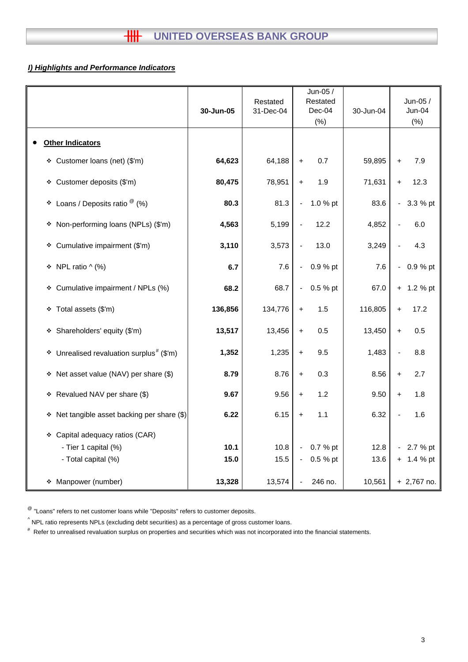## *I) Highlights and Performance Indicators*

|                                                         | 30-Jun-05 | Restated<br>31-Dec-04 | Jun-05 /<br>Restated<br>$Dec-04$<br>(% ) | 30-Jun-04 | Jun-05 /<br>Jun-04<br>(%)  |
|---------------------------------------------------------|-----------|-----------------------|------------------------------------------|-----------|----------------------------|
| <b>Other Indicators</b>                                 |           |                       |                                          |           |                            |
| Customer loans (net) (\$'m)<br>۰                        | 64,623    | 64,188                | 0.7<br>$\begin{array}{c} + \end{array}$  | 59,895    | 7.9<br>$\ddot{}$           |
| Customer deposits (\$'m)<br>❖                           | 80,475    | 78,951                | 1.9<br>$\ddot{\phantom{1}}$              | 71,631    | 12.3<br>$+$                |
| Loans / Deposits ratio $^\circledR$ (%)<br>۰            | 80.3      | 81.3                  | 1.0 % pt<br>$\blacksquare$               | 83.6      | 3.3 % pt<br>$\blacksquare$ |
| Non-performing loans (NPLs) (\$'m)<br>۰                 | 4,563     | 5,199                 | 12.2                                     | 4,852     | 6.0                        |
| Cumulative impairment (\$'m)<br>۰                       | 3,110     | 3,573                 | 13.0                                     | 3,249     | 4.3                        |
| NPL ratio $\wedge$ (%)<br>۰                             | 6.7       | 7.6                   | 0.9 % pt<br>$\blacksquare$               | 7.6       | 0.9 % pt<br>$\blacksquare$ |
| Cumulative impairment / NPLs (%)<br>۰                   | 68.2      | 68.7                  | 0.5 % pt<br>$\blacksquare$               | 67.0      | 1.2 % pt<br>$+$            |
| Total assets (\$'m)<br>❖                                | 136,856   | 134,776               | 1.5<br>$+$                               | 116,805   | 17.2<br>$+$                |
| Shareholders' equity (\$'m)<br>۰                        | 13,517    | 13,456                | 0.5<br>$\ddot{}$                         | 13,450    | 0.5<br>$+$                 |
| Unrealised revaluation surplus <sup>#</sup> (\$'m)<br>۰ | 1,352     | 1,235                 | 9.5<br>$+$                               | 1,483     | 8.8                        |
| Net asset value (NAV) per share (\$)<br>۰               | 8.79      | 8.76                  | 0.3<br>$+$                               | 8.56      | 2.7<br>$\ddot{}$           |
| Revalued NAV per share (\$)<br>٠                        | 9.67      | 9.56                  | 1.2<br>$\begin{array}{c} + \end{array}$  | 9.50      | 1.8<br>$\ddot{}$           |
| Net tangible asset backing per share (\$)<br>٠          | 6.22      | 6.15                  | 1.1<br>$\begin{array}{c} + \end{array}$  | 6.32      | 1.6                        |
| * Capital adequacy ratios (CAR)                         |           |                       |                                          |           |                            |
| - Tier 1 capital (%)                                    | 10.1      | 10.8                  | 0.7 % pt<br>$\blacksquare$               | 12.8      | 2.7 % pt                   |
| - Total capital (%)                                     | 15.0      | 15.5                  | 0.5 % pt<br>$\blacksquare$               | 13.6      | $+ 1.4 %$ pt               |
| Manpower (number)<br>۰                                  | 13,328    | 13,574                | 246 no.<br>$\blacksquare$                | 10,561    | $+2,767$ no.               |

 $^{\circledR}$  "Loans" refers to net customer loans while "Deposits" refers to customer deposits.

 $^{\wedge}$  NPL ratio represents NPLs (excluding debt securities) as a percentage of gross customer loans.

# Refer to unrealised revaluation surplus on properties and securities which was not incorporated into the financial statements.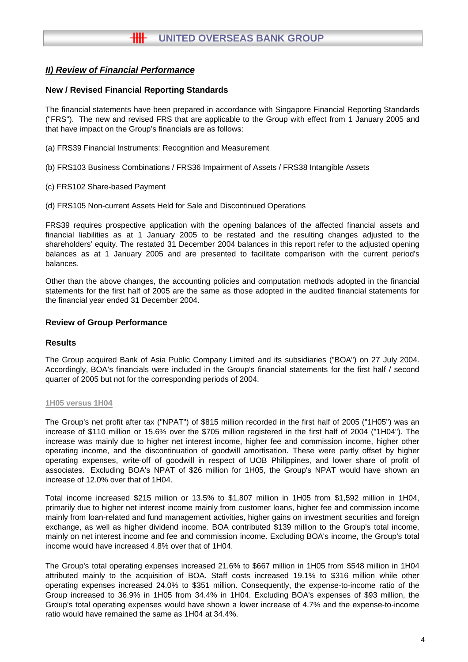### **New / Revised Financial Reporting Standards**

The financial statements have been prepared in accordance with Singapore Financial Reporting Standards ("FRS"). The new and revised FRS that are applicable to the Group with effect from 1 January 2005 and that have impact on the Group's financials are as follows:

- (a) FRS39 Financial Instruments: Recognition and Measurement
- (b) FRS103 Business Combinations / FRS36 Impairment of Assets / FRS38 Intangible Assets
- (c) FRS102 Share-based Payment
- (d) FRS105 Non-current Assets Held for Sale and Discontinued Operations

FRS39 requires prospective application with the opening balances of the affected financial assets and financial liabilities as at 1 January 2005 to be restated and the resulting changes adjusted to the shareholders' equity. The restated 31 December 2004 balances in this report refer to the adjusted opening balances as at 1 January 2005 and are presented to facilitate comparison with the current period's balances.

Other than the above changes, the accounting policies and computation methods adopted in the financial statements for the first half of 2005 are the same as those adopted in the audited financial statements for the financial year ended 31 December 2004.

#### **Review of Group Performance**

#### **Results**

The Group acquired Bank of Asia Public Company Limited and its subsidiaries ("BOA") on 27 July 2004. Accordingly, BOA's financials were included in the Group's financial statements for the first half / second quarter of 2005 but not for the corresponding periods of 2004.

#### **1H05 versus 1H04**

The Group's net profit after tax ("NPAT") of \$815 million recorded in the first half of 2005 ("1H05") was an increase of \$110 million or 15.6% over the \$705 million registered in the first half of 2004 ("1H04"). The increase was mainly due to higher net interest income, higher fee and commission income, higher other operating income, and the discontinuation of goodwill amortisation. These were partly offset by higher operating expenses, write-off of goodwill in respect of UOB Philippines, and lower share of profit of associates. Excluding BOA's NPAT of \$26 million for 1H05, the Group's NPAT would have shown an increase of 12.0% over that of 1H04.

Total income increased \$215 million or 13.5% to \$1,807 million in 1H05 from \$1,592 million in 1H04, primarily due to higher net interest income mainly from customer loans, higher fee and commission income mainly from loan-related and fund management activities, higher gains on investment securities and foreign exchange, as well as higher dividend income. BOA contributed \$139 million to the Group's total income, mainly on net interest income and fee and commission income. Excluding BOA's income, the Group's total income would have increased 4.8% over that of 1H04.

The Group's total operating expenses increased 21.6% to \$667 million in 1H05 from \$548 million in 1H04 attributed mainly to the acquisition of BOA. Staff costs increased 19.1% to \$316 million while other operating expenses increased 24.0% to \$351 million. Consequently, the expense-to-income ratio of the Group increased to 36.9% in 1H05 from 34.4% in 1H04. Excluding BOA's expenses of \$93 million, the Group's total operating expenses would have shown a lower increase of 4.7% and the expense-to-income ratio would have remained the same as 1H04 at 34.4%.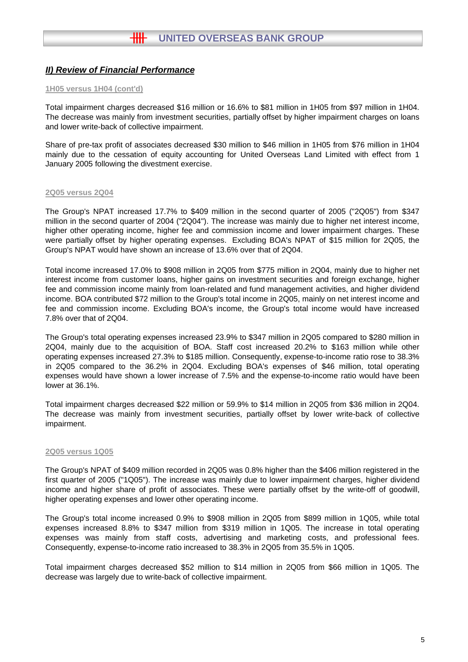#### **1H05 versus 1H04 (cont'd)**

Total impairment charges decreased \$16 million or 16.6% to \$81 million in 1H05 from \$97 million in 1H04. The decrease was mainly from investment securities, partially offset by higher impairment charges on loans and lower write-back of collective impairment.

Share of pre-tax profit of associates decreased \$30 million to \$46 million in 1H05 from \$76 million in 1H04 mainly due to the cessation of equity accounting for United Overseas Land Limited with effect from 1 January 2005 following the divestment exercise.

#### **2Q05 versus 2Q04**

The Group's NPAT increased 17.7% to \$409 million in the second quarter of 2005 ("2Q05") from \$347 million in the second quarter of 2004 ("2Q04"). The increase was mainly due to higher net interest income, higher other operating income, higher fee and commission income and lower impairment charges. These were partially offset by higher operating expenses. Excluding BOA's NPAT of \$15 million for 2Q05, the Group's NPAT would have shown an increase of 13.6% over that of 2Q04.

Total income increased 17.0% to \$908 million in 2Q05 from \$775 million in 2Q04, mainly due to higher net interest income from customer loans, higher gains on investment securities and foreign exchange, higher fee and commission income mainly from loan-related and fund management activities, and higher dividend income. BOA contributed \$72 million to the Group's total income in 2Q05, mainly on net interest income and fee and commission income. Excluding BOA's income, the Group's total income would have increased 7.8% over that of 2Q04.

The Group's total operating expenses increased 23.9% to \$347 million in 2Q05 compared to \$280 million in 2Q04, mainly due to the acquisition of BOA. Staff cost increased 20.2% to \$163 million while other operating expenses increased 27.3% to \$185 million. Consequently, expense-to-income ratio rose to 38.3% in 2Q05 compared to the 36.2% in 2Q04. Excluding BOA's expenses of \$46 million, total operating expenses would have shown a lower increase of 7.5% and the expense-to-income ratio would have been lower at 36.1%.

Total impairment charges decreased \$22 million or 59.9% to \$14 million in 2Q05 from \$36 million in 2Q04. The decrease was mainly from investment securities, partially offset by lower write-back of collective impairment.

#### **2Q05 versus 1Q05**

The Group's NPAT of \$409 million recorded in 2Q05 was 0.8% higher than the \$406 million registered in the first quarter of 2005 ("1Q05"). The increase was mainly due to lower impairment charges, higher dividend income and higher share of profit of associates. These were partially offset by the write-off of goodwill, higher operating expenses and lower other operating income.

The Group's total income increased 0.9% to \$908 million in 2Q05 from \$899 million in 1Q05, while total expenses increased 8.8% to \$347 million from \$319 million in 1Q05. The increase in total operating expenses was mainly from staff costs, advertising and marketing costs, and professional fees. Consequently, expense-to-income ratio increased to 38.3% in 2Q05 from 35.5% in 1Q05.

Total impairment charges decreased \$52 million to \$14 million in 2Q05 from \$66 million in 1Q05. The decrease was largely due to write-back of collective impairment.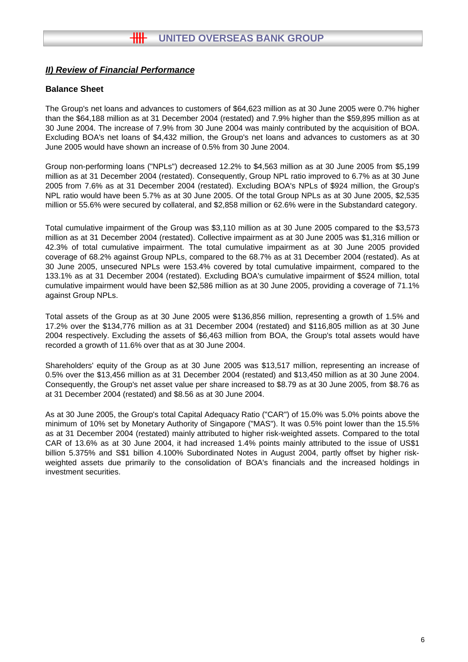## **Balance Sheet**

The Group's net loans and advances to customers of \$64,623 million as at 30 June 2005 were 0.7% higher than the \$64,188 million as at 31 December 2004 (restated) and 7.9% higher than the \$59,895 million as at 30 June 2004. The increase of 7.9% from 30 June 2004 was mainly contributed by the acquisition of BOA. Excluding BOA's net loans of \$4,432 million, the Group's net loans and advances to customers as at 30 June 2005 would have shown an increase of 0.5% from 30 June 2004.

Group non-performing loans ("NPLs") decreased 12.2% to \$4,563 million as at 30 June 2005 from \$5,199 million as at 31 December 2004 (restated). Consequently, Group NPL ratio improved to 6.7% as at 30 June 2005 from 7.6% as at 31 December 2004 (restated). Excluding BOA's NPLs of \$924 million, the Group's NPL ratio would have been 5.7% as at 30 June 2005. Of the total Group NPLs as at 30 June 2005, \$2,535 million or 55.6% were secured by collateral, and \$2,858 million or 62.6% were in the Substandard category.

Total cumulative impairment of the Group was \$3,110 million as at 30 June 2005 compared to the \$3,573 million as at 31 December 2004 (restated). Collective impairment as at 30 June 2005 was \$1,316 million or 42.3% of total cumulative impairment. The total cumulative impairment as at 30 June 2005 provided coverage of 68.2% against Group NPLs, compared to the 68.7% as at 31 December 2004 (restated). As at 30 June 2005, unsecured NPLs were 153.4% covered by total cumulative impairment, compared to the 133.1% as at 31 December 2004 (restated). Excluding BOA's cumulative impairment of \$524 million, total cumulative impairment would have been \$2,586 million as at 30 June 2005, providing a coverage of 71.1% against Group NPLs.

Total assets of the Group as at 30 June 2005 were \$136,856 million, representing a growth of 1.5% and 17.2% over the \$134,776 million as at 31 December 2004 (restated) and \$116,805 million as at 30 June 2004 respectively. Excluding the assets of \$6,463 million from BOA, the Group's total assets would have recorded a growth of 11.6% over that as at 30 June 2004.

Shareholders' equity of the Group as at 30 June 2005 was \$13,517 million, representing an increase of 0.5% over the \$13,456 million as at 31 December 2004 (restated) and \$13,450 million as at 30 June 2004. Consequently, the Group's net asset value per share increased to \$8.79 as at 30 June 2005, from \$8.76 as at 31 December 2004 (restated) and \$8.56 as at 30 June 2004.

As at 30 June 2005, the Group's total Capital Adequacy Ratio ("CAR") of 15.0% was 5.0% points above the minimum of 10% set by Monetary Authority of Singapore ("MAS"). It was 0.5% point lower than the 15.5% as at 31 December 2004 (restated) mainly attributed to higher risk-weighted assets. Compared to the total CAR of 13.6% as at 30 June 2004, it had increased 1.4% points mainly attributed to the issue of US\$1 billion 5.375% and S\$1 billion 4.100% Subordinated Notes in August 2004, partly offset by higher riskweighted assets due primarily to the consolidation of BOA's financials and the increased holdings in investment securities.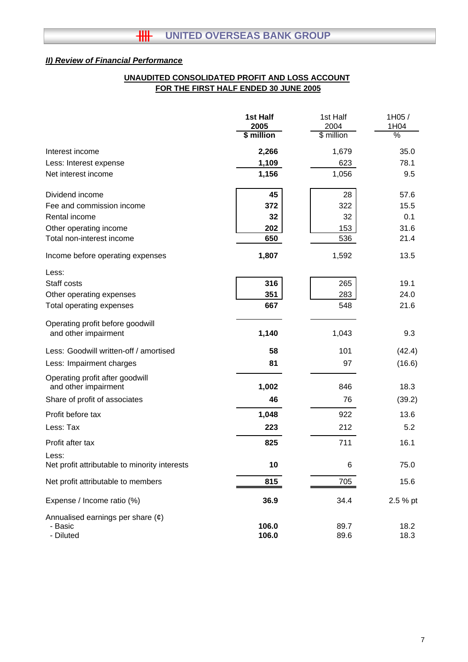## **FOR THE FIRST HALF ENDED 30 JUNE 2005 UNAUDITED CONSOLIDATED PROFIT AND LOSS ACCOUNT**

|                                                         | 1st Half<br>2005 | 1st Half<br>2004 | 1H05/<br>1H04 |
|---------------------------------------------------------|------------------|------------------|---------------|
|                                                         | \$ million       | \$ million       | %             |
| Interest income                                         | 2,266            | 1,679            | 35.0          |
| Less: Interest expense                                  | 1,109            | 623              | 78.1          |
| Net interest income                                     | 1,156            | 1,056            | 9.5           |
| Dividend income                                         | 45               | 28               | 57.6          |
| Fee and commission income                               | 372              | 322              | 15.5          |
| Rental income                                           | 32               | 32               | 0.1           |
| Other operating income                                  | 202              | 153              | 31.6          |
| Total non-interest income                               | 650              | 536              | 21.4          |
| Income before operating expenses                        | 1,807            | 1,592            | 13.5          |
| Less:                                                   |                  |                  |               |
| Staff costs                                             | 316              | 265              | 19.1          |
| Other operating expenses                                | 351              | 283              | 24.0          |
| Total operating expenses                                | 667              | 548              | 21.6          |
| Operating profit before goodwill                        |                  |                  |               |
| and other impairment                                    | 1,140            | 1,043            | 9.3           |
| Less: Goodwill written-off / amortised                  | 58               | 101              | (42.4)        |
| Less: Impairment charges                                | 81               | 97               | (16.6)        |
| Operating profit after goodwill<br>and other impairment | 1,002            | 846              | 18.3          |
| Share of profit of associates                           | 46               | 76               | (39.2)        |
| Profit before tax                                       | 1,048            | 922              | 13.6          |
| Less: Tax                                               | 223              | 212              | 5.2           |
| Profit after tax                                        | 825              | 711              | 16.1          |
| Less:<br>Net profit attributable to minority interests  | 10               | 6                | 75.0          |
| Net profit attributable to members                      | 815              | 705              | 15.6          |
| Expense / Income ratio (%)                              | 36.9             | 34.4             | 2.5 % pt      |
| Annualised earnings per share $(\phi)$                  |                  |                  |               |
| - Basic                                                 | 106.0            | 89.7             | 18.2          |
| - Diluted                                               | 106.0            | 89.6             | 18.3          |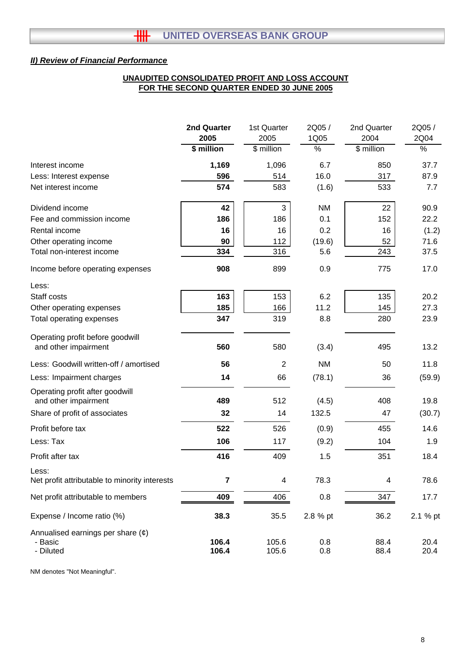## **UNAUDITED CONSOLIDATED PROFIT AND LOSS ACCOUNT FOR THE SECOND QUARTER ENDED 30 JUNE 2005**

|                                                         | 2nd Quarter | 1st Quarter             | 2Q05/         | 2nd Quarter    | 2Q05 /        |
|---------------------------------------------------------|-------------|-------------------------|---------------|----------------|---------------|
|                                                         | 2005        | 2005                    | 1Q05          | 2004           | 2Q04          |
|                                                         | \$ million  | \$ million              | $\frac{1}{6}$ | \$ million     | $\frac{1}{2}$ |
| Interest income                                         | 1,169       | 1,096                   | 6.7           | 850            | 37.7          |
| Less: Interest expense                                  | 596         | 514                     | 16.0          | 317            | 87.9          |
| Net interest income                                     | 574         | 583                     | (1.6)         | 533            | 7.7           |
| Dividend income                                         | 42          | 3                       | <b>NM</b>     | 22             | 90.9          |
| Fee and commission income                               | 186         | 186                     | 0.1           | 152            | 22.2          |
| Rental income                                           | 16          | 16                      | 0.2           | 16             | (1.2)         |
| Other operating income                                  | 90          | 112                     | (19.6)        | 52             | 71.6          |
| Total non-interest income                               | 334         | 316                     | 5.6           | 243            | 37.5          |
| Income before operating expenses                        | 908         | 899                     | 0.9           | 775            | 17.0          |
| Less:                                                   |             |                         |               |                |               |
| Staff costs                                             | 163         | 153                     | 6.2           | 135            | 20.2          |
| Other operating expenses                                | 185         | 166                     | 11.2          | 145            | 27.3          |
| Total operating expenses                                | 347         | 319                     | 8.8           | 280            | 23.9          |
| Operating profit before goodwill                        |             |                         |               |                |               |
| and other impairment                                    | 560         | 580                     | (3.4)         | 495            | 13.2          |
| Less: Goodwill written-off / amortised                  | 56          | 2                       | <b>NM</b>     | 50             | 11.8          |
| Less: Impairment charges                                | 14          | 66                      | (78.1)        | 36             | (59.9)        |
| Operating profit after goodwill<br>and other impairment | 489         | 512                     | (4.5)         | 408            | 19.8          |
| Share of profit of associates                           | 32          | 14                      | 132.5         | 47             | (30.7)        |
| Profit before tax                                       | 522         | 526                     | (0.9)         | 455            | 14.6          |
| Less: Tax                                               | 106         | 117                     | (9.2)         | 104            | 1.9           |
|                                                         |             |                         |               |                |               |
| Profit after tax                                        | 416         | 409                     | 1.5           | 351            | 18.4          |
| Less:<br>Net profit attributable to minority interests  | 7           | $\overline{\mathbf{4}}$ | 78.3          | $\overline{4}$ | 78.6          |
| Net profit attributable to members                      | 409         | 406                     | 0.8           | 347            | 17.7          |
| Expense / Income ratio (%)                              | 38.3        | 35.5                    | 2.8 % pt      | 36.2           | 2.1 % pt      |
| Annualised earnings per share $(\phi)$                  |             |                         |               |                |               |
| - Basic                                                 | 106.4       | 105.6                   | 0.8           | 88.4           | 20.4          |
| - Diluted                                               | 106.4       | 105.6                   | 0.8           | 88.4           | 20.4          |

NM denotes "Not Meaningful".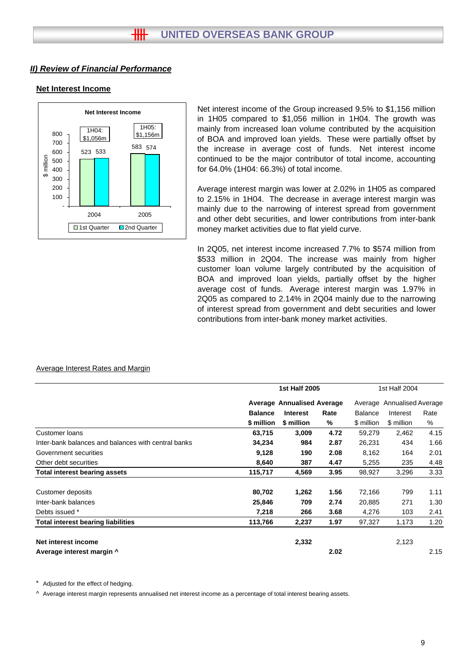#### **Net Interest Income**



Net interest income of the Group increased 9.5% to \$1,156 million in 1H05 compared to \$1,056 million in 1H04. The growth was mainly from increased loan volume contributed by the acquisition of BOA and improved loan yields. These were partially offset by the increase in average cost of funds. Net interest income continued to be the major contributor of total income, accounting for 64.0% (1H04: 66.3%) of total income.

Average interest margin was lower at 2.02% in 1H05 as compared to 2.15% in 1H04. The decrease in average interest margin was mainly due to the narrowing of interest spread from government and other debt securities, and lower contributions from inter-bank money market activities due to flat yield curve.

In 2Q05, net interest income increased 7.7% to \$574 million from \$533 million in 2Q04. The increase was mainly from higher customer loan volume largely contributed by the acquisition of BOA and improved loan yields, partially offset by the higher average cost of funds. Average interest margin was 1.97% in 2Q05 as compared to 2.14% in 2Q04 mainly due to the narrowing of interest spread from government and debt securities and lower contributions from inter-bank money market activities.

|                                                     |                                   | 1st Half 2005   |      |                | 1st Half 2004<br>Average Annualised Average |      |  |
|-----------------------------------------------------|-----------------------------------|-----------------|------|----------------|---------------------------------------------|------|--|
|                                                     | <b>Average Annualised Average</b> |                 |      |                |                                             |      |  |
|                                                     | <b>Balance</b>                    | <b>Interest</b> | Rate | <b>Balance</b> | Interest                                    | Rate |  |
|                                                     | \$ million                        | \$ million      | %    | \$ million     | \$ million                                  | %    |  |
| <b>Customer loans</b>                               | 63,715                            | 3,009           | 4.72 | 59,279         | 2,462                                       | 4.15 |  |
| Inter-bank balances and balances with central banks | 34,234                            | 984             | 2.87 | 26,231         | 434                                         | 1.66 |  |
| Government securities                               | 9,128                             | 190             | 2.08 | 8,162          | 164                                         | 2.01 |  |
| Other debt securities                               | 8,640                             | 387             | 4.47 | 5,255          | 235                                         | 4.48 |  |
| <b>Total interest bearing assets</b>                | 115,717                           | 4,569           | 3.95 | 98,927         | 3,296                                       | 3.33 |  |
| Customer deposits                                   | 80,702                            | 1,262           | 1.56 | 72,166         | 799                                         | 1.11 |  |
| Inter-bank balances                                 | 25,846                            | 709             | 2.74 | 20,885         | 271                                         | 1.30 |  |
| Debts issued *                                      | 7,218                             | 266             | 3.68 | 4,276          | 103                                         | 2.41 |  |
| <b>Total interest bearing liabilities</b>           | 113,766                           | 2,237           | 1.97 | 97,327         | 1,173                                       | 1.20 |  |
| Net interest income                                 |                                   | 2,332           |      |                | 2,123                                       |      |  |
| Average interest margin ^                           |                                   |                 | 2.02 |                |                                             | 2.15 |  |

#### Average Interest Rates and Margin

Adjusted for the effect of hedging.

 $\land$  Average interest margin represents annualised net interest income as a percentage of total interest bearing assets.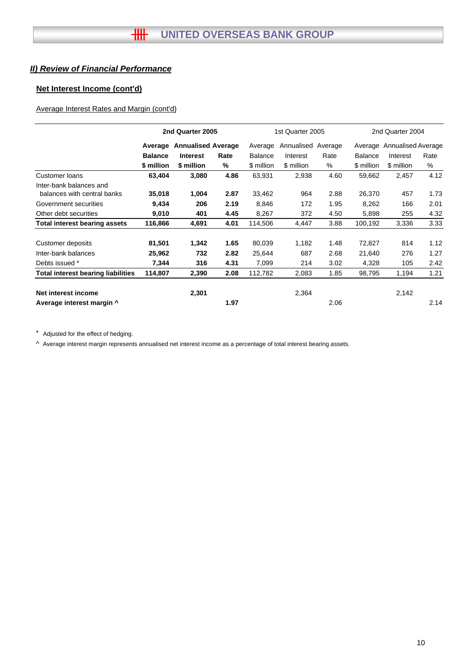## **Net Interest Income (cont'd)**

## Average Interest Rates and Margin (cont'd)

|                                                        |                | 2nd Quarter 2005          |      |                | 1st Quarter 2005 |         |                | 2nd Quarter 2004           |      |
|--------------------------------------------------------|----------------|---------------------------|------|----------------|------------------|---------|----------------|----------------------------|------|
|                                                        | Average        | <b>Annualised Average</b> |      | Average        | Annualised       | Average |                | Average Annualised Average |      |
|                                                        | <b>Balance</b> | <b>Interest</b>           | Rate | <b>Balance</b> | Interest         | Rate    | <b>Balance</b> | Interest                   | Rate |
|                                                        | \$ million     | \$ million                | %    | \$ million     | \$ million       | %       | \$ million     | \$ million                 | $\%$ |
| Customer loans                                         | 63,404         | 3,080                     | 4.86 | 63,931         | 2,938            | 4.60    | 59,662         | 2,457                      | 4.12 |
| Inter-bank balances and<br>balances with central banks | 35,018         | 1,004                     | 2.87 | 33,462         | 964              | 2.88    | 26,370         | 457                        | 1.73 |
| Government securities                                  | 9,434          | 206                       | 2.19 | 8,846          | 172              | 1.95    | 8,262          | 166                        | 2.01 |
| Other debt securities                                  | 9,010          | 401                       | 4.45 | 8,267          | 372              | 4.50    | 5,898          | 255                        | 4.32 |
| <b>Total interest bearing assets</b>                   | 116,866        | 4,691                     | 4.01 | 114,506        | 4,447            | 3.88    | 100,192        | 3,336                      | 3.33 |
| Customer deposits                                      | 81,501         | 1,342                     | 1.65 | 80,039         | 1,182            | 1.48    | 72,827         | 814                        | 1.12 |
| Inter-bank balances                                    | 25,962         | 732                       | 2.82 | 25,644         | 687              | 2.68    | 21,640         | 276                        | 1.27 |
| Debts issued *                                         | 7,344          | 316                       | 4.31 | 7,099          | 214              | 3.02    | 4,328          | 105                        | 2.42 |
| <b>Total interest bearing liabilities</b>              | 114,807        | 2,390                     | 2.08 | 112,782        | 2,083            | 1.85    | 98,795         | 1,194                      | 1.21 |
| Net interest income                                    |                | 2,301                     |      |                | 2,364            |         |                | 2,142                      |      |
| Average interest margin ^                              |                |                           | 1.97 |                |                  | 2.06    |                |                            | 2.14 |

\* Adjusted for the effect of hedging.

^ Average interest margin represents annualised net interest income as a percentage of total interest bearing assets.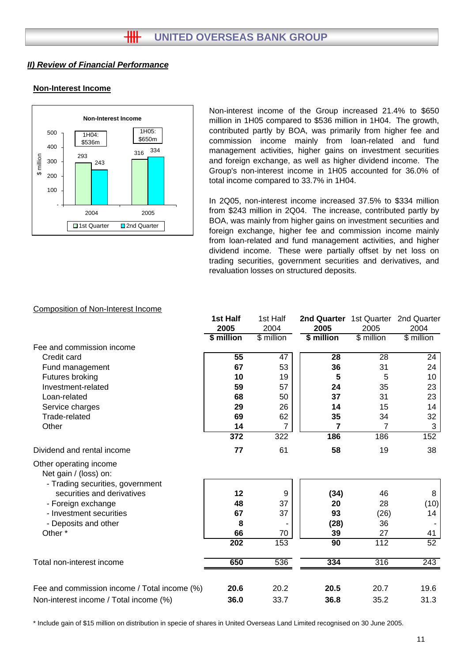## **Non-Interest Income**



Non-interest income of the Group increased 21.4% to \$650 million in 1H05 compared to \$536 million in 1H04. The growth, contributed partly by BOA, was primarily from higher fee and commission income mainly from loan-related and fund management activities, higher gains on investment securities and foreign exchange, as well as higher dividend income. The Group's non-interest income in 1H05 accounted for 36.0% of total income compared to 33.7% in 1H04.

In 2Q05, non-interest income increased 37.5% to \$334 million from \$243 million in 2Q04. The increase, contributed partly by BOA, was mainly from higher gains on investment securities and foreign exchange, higher fee and commission income mainly from loan-related and fund management activities, and higher dividend income. These were partially offset by net loss on trading securities, government securities and derivatives, and revaluation losses on structured deposits.

#### Composition of Non-Interest Income

|                                                 | 1st Half   | 1st Half         | 2nd Quarter 1st Quarter |             | 2nd Quarter |
|-------------------------------------------------|------------|------------------|-------------------------|-------------|-------------|
|                                                 | 2005       | 2004             | 2005                    | 2005        | 2004        |
|                                                 | \$ million | \$ million       | \$ million              | $$$ million | \$ million  |
| Fee and commission income                       |            |                  |                         |             |             |
| Credit card                                     | 55         | 47               | 28                      | 28          | 24          |
| Fund management                                 | 67         | 53               | 36                      | 31          | 24          |
| Futures broking                                 | 10         | 19               | 5                       | 5           | 10          |
| Investment-related                              | 59         | 57               | 24                      | 35          | 23          |
| Loan-related                                    | 68         | 50               | 37                      | 31          | 23          |
| Service charges                                 | 29         | 26               | 14                      | 15          | 14          |
| Trade-related                                   | 69         | 62               | 35                      | 34          | 32          |
| Other                                           | 14         | 7                | 7                       | 7           | 3           |
|                                                 | 372        | $\overline{322}$ | 186                     | 186         | 152         |
| Dividend and rental income                      | 77         | 61               | 58                      | 19          | 38          |
| Other operating income<br>Net gain / (loss) on: |            |                  |                         |             |             |
| - Trading securities, government                |            |                  |                         |             |             |
| securities and derivatives                      | 12         | 9                | (34)                    | 46          | 8           |
| - Foreign exchange                              | 48<br>67   | 37               | 20                      | 28          | (10)        |
| - Investment securities                         |            | 37               | 93                      | (26)        | 14          |
| - Deposits and other                            | 8          |                  | (28)                    | 36          |             |
| Other*                                          | 66         | 70               | 39                      | 27          | 41          |
|                                                 | 202        | 153              | 90                      | 112         | 52          |
| Total non-interest income                       | 650        | 536              | 334                     | 316         | 243         |
| Fee and commission income / Total income (%)    | 20.6       | 20.2             | 20.5                    | 20.7        | 19.6        |
| Non-interest income / Total income (%)          | 36.0       | 33.7             | 36.8                    | 35.2        | 31.3        |

\* Include gain of \$15 million on distribution in specie of shares in United Overseas Land Limited recognised on 30 June 2005.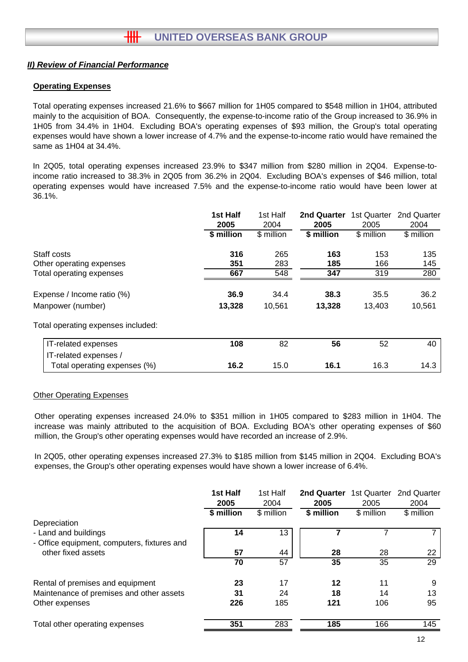## **Operating Expenses**

Total operating expenses increased 21.6% to \$667 million for 1H05 compared to \$548 million in 1H04, attributed mainly to the acquisition of BOA. Consequently, the expense-to-income ratio of the Group increased to 36.9% in 1H05 from 34.4% in 1H04. Excluding BOA's operating expenses of \$93 million, the Group's total operating expenses would have shown a lower increase of 4.7% and the expense-to-income ratio would have remained the same as 1H04 at 34.4%.

In 2Q05, total operating expenses increased 23.9% to \$347 million from \$280 million in 2Q04. Expense-toincome ratio increased to 38.3% in 2Q05 from 36.2% in 2Q04. Excluding BOA's expenses of \$46 million, total operating expenses would have increased 7.5% and the expense-to-income ratio would have been lower at 36.1%.

|                                    | 1st Half<br>2005 | 1st Half<br>2004 | 2nd Quarter<br>2005 | 1st Quarter<br>2005 | 2nd Quarter<br>2004 |
|------------------------------------|------------------|------------------|---------------------|---------------------|---------------------|
|                                    | \$ million       | \$ million       | \$ million          | \$ million          | \$ million          |
| Staff costs                        | 316              | 265              | 163                 | 153                 | 135                 |
| Other operating expenses           | 351              | 283              | 185                 | 166                 | 145                 |
| Total operating expenses           | 667              | 548              | 347                 | 319                 | 280                 |
| Expense / Income ratio (%)         | 36.9             | 34.4             | 38.3                | 35.5                | 36.2                |
| Manpower (number)                  | 13,328           | 10,561           | 13,328              | 13,403              | 10,561              |
| Total operating expenses included: |                  |                  |                     |                     |                     |
| IT-related expenses                | 108              | 82               | 56                  | 52                  | 40                  |
| IT-related expenses /              |                  |                  |                     |                     |                     |
| Total operating expenses (%)       | 16.2             | 15.0             | 16.1                | 16.3                | 14.3                |

#### Other Operating Expenses

Other operating expenses increased 24.0% to \$351 million in 1H05 compared to \$283 million in 1H04. The increase was mainly attributed to the acquisition of BOA. Excluding BOA's other operating expenses of \$60 million, the Group's other operating expenses would have recorded an increase of 2.9%.

In 2Q05, other operating expenses increased 27.3% to \$185 million from \$145 million in 2Q04. Excluding BOA's expenses, the Group's other operating expenses would have shown a lower increase of 6.4%.

|                                                                   | 1st Half<br>2005 | 1st Half<br>2004 | 2nd Quarter<br>2005 | 1st Quarter<br>2005 | 2nd Quarter<br>2004 |
|-------------------------------------------------------------------|------------------|------------------|---------------------|---------------------|---------------------|
|                                                                   | \$ million       | \$ million       | \$ million          | \$ million          | \$ million          |
| Depreciation                                                      |                  |                  |                     |                     |                     |
| - Land and buildings                                              | 14               | 13               |                     |                     |                     |
| - Office equipment, computers, fixtures and<br>other fixed assets | 57               | 44               | 28                  | 28                  | 22                  |
|                                                                   | 70               | 57               | 35                  | 35                  | 29                  |
| Rental of premises and equipment                                  | 23               | 17               | 12                  | 11                  | 9                   |
| Maintenance of premises and other assets                          | 31               | 24               | 18                  | 14                  | 13                  |
| Other expenses                                                    | 226              | 185              | 121                 | 106                 | 95                  |
| Total other operating expenses                                    | 351              | 283              | 185                 | 166                 | $\overline{145}$    |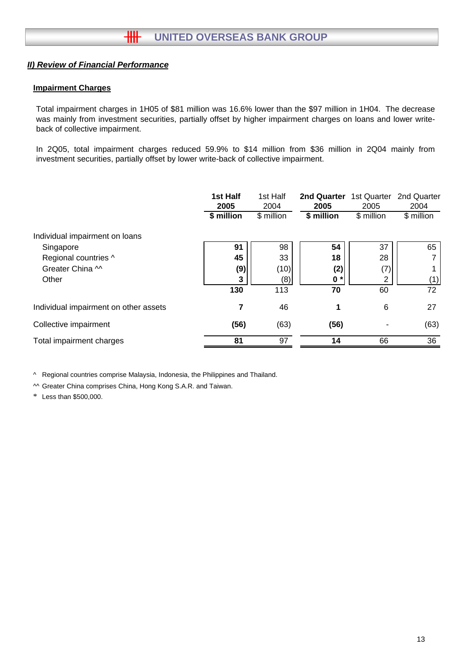## **Impairment Charges**

Total impairment charges in 1H05 of \$81 million was 16.6% lower than the \$97 million in 1H04. The decrease was mainly from investment securities, partially offset by higher impairment charges on loans and lower writeback of collective impairment.

In 2Q05, total impairment charges reduced 59.9% to \$14 million from \$36 million in 2Q04 mainly from investment securities, partially offset by lower write-back of collective impairment.

|                                                                     | 1st Half<br>2005       | 1st Half<br>2004<br>\$ million | 2nd Quarter<br>2005    | 1st Quarter<br>2005<br>\$ million | 2nd Quarter<br>2004 |
|---------------------------------------------------------------------|------------------------|--------------------------------|------------------------|-----------------------------------|---------------------|
| Individual impairment on loans<br>Singapore<br>Regional countries ^ | \$ million<br>91<br>45 | 98<br>33                       | \$ million<br>54<br>18 | 37<br>28                          | \$ million<br>65    |
| Greater China M<br>Other                                            | (9)<br>3<br>130        | (10)<br>(8)<br>113             | (2)<br>$0 *$<br>70     | (7)<br>2<br>60                    | (1)<br>72           |
| Individual impairment on other assets                               | 7                      | 46                             | 1                      | 6                                 | 27                  |
| Collective impairment                                               | (56)                   | (63)                           | (56)                   |                                   | (63)                |
| Total impairment charges                                            | 81                     | 97                             | 14                     | 66                                | 36                  |

^ Regional countries comprise Malaysia, Indonesia, the Philippines and Thailand.

^^ Greater China comprises China, Hong Kong S.A.R. and Taiwan.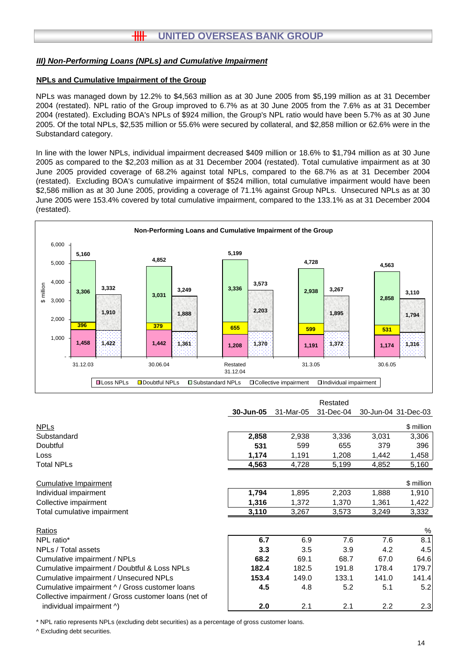## **HH UNITED OVERSEAS BANK GROUP**

#### *III) Non-Performing Loans (NPLs) and Cumulative Impairment*

#### **NPLs and Cumulative Impairment of the Group**

NPLs was managed down by 12.2% to \$4,563 million as at 30 June 2005 from \$5,199 million as at 31 December 2004 (restated). NPL ratio of the Group improved to 6.7% as at 30 June 2005 from the 7.6% as at 31 December 2004 (restated). Excluding BOA's NPLs of \$924 million, the Group's NPL ratio would have been 5.7% as at 30 June 2005. Of the total NPLs, \$2,535 million or 55.6% were secured by collateral, and \$2,858 million or 62.6% were in the Substandard category.

In line with the lower NPLs, individual impairment decreased \$409 million or 18.6% to \$1,794 million as at 30 June 2005 as compared to the \$2,203 million as at 31 December 2004 (restated). Total cumulative impairment as at 30 June 2005 provided coverage of 68.2% against total NPLs, compared to the 68.7% as at 31 December 2004 (restated). Excluding BOA's cumulative impairment of \$524 million, total cumulative impairment would have been \$2,586 million as at 30 June 2005, providing a coverage of 71.1% against Group NPLs. Unsecured NPLs as at 30 June 2005 were 153.4% covered by total cumulative impairment, compared to the 133.1% as at 31 December 2004 (restated).



|                                                      |           |           | Restated  |       |                     |
|------------------------------------------------------|-----------|-----------|-----------|-------|---------------------|
|                                                      | 30-Jun-05 | 31-Mar-05 | 31-Dec-04 |       | 30-Jun-04 31-Dec-03 |
| <b>NPLs</b>                                          |           |           |           |       | \$ million          |
| Substandard                                          | 2,858     | 2,938     | 3,336     | 3,031 | 3,306               |
| Doubtful                                             | 531       | 599       | 655       | 379   | 396                 |
| Loss                                                 | 1,174     | 1,191     | 1,208     | 1,442 | 1,458               |
| <b>Total NPLs</b>                                    | 4,563     | 4,728     | 5,199     | 4,852 | 5,160               |
| <b>Cumulative Impairment</b>                         |           |           |           |       | \$ million          |
| Individual impairment                                | 1,794     | 1,895     | 2,203     | 1,888 | 1,910               |
| Collective impairment                                | 1,316     | 1,372     | 1,370     | 1,361 | 1,422               |
| Total cumulative impairment                          | 3,110     | 3,267     | 3,573     | 3,249 | 3,332               |
| Ratios                                               |           |           |           |       | %                   |
| NPL ratio*                                           | 6.7       | 6.9       | 7.6       | 7.6   | 8.1                 |
| NPLs / Total assets                                  | 3.3       | 3.5       | 3.9       | 4.2   | 4.5                 |
| Cumulative impairment / NPLs                         | 68.2      | 69.1      | 68.7      | 67.0  | 64.6                |
| Cumulative impairment / Doubtful & Loss NPLs         | 182.4     | 182.5     | 191.8     | 178.4 | 179.7               |
| Cumulative impairment / Unsecured NPLs               | 153.4     | 149.0     | 133.1     | 141.0 | 141.4               |
| Cumulative impairment ^ / Gross customer loans       | 4.5       | 4.8       | 5.2       | 5.1   | 5.2                 |
| Collective impairment / Gross customer loans (net of |           |           |           |       |                     |
| individual impairment ^)                             | 2.0       | 2.1       | 2.1       | 2.2   | 2.3                 |

\* NPL ratio represents NPLs (excluding debt securities) as a percentage of gross customer loans.

^ Excluding debt securities.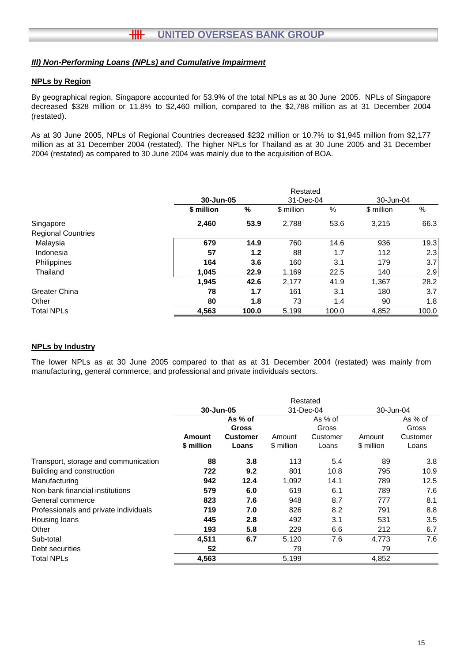## *III) Non-Performing Loans (NPLs) and Cumulative Impairment*

## **NPLs by Region**

By geographical region, Singapore accounted for 53.9% of the total NPLs as at 30 June 2005. NPLs of Singapore decreased \$328 million or 11.8% to \$2,460 million, compared to the \$2,788 million as at 31 December 2004 (restated).

As at 30 June 2005, NPLs of Regional Countries decreased \$232 million or 10.7% to \$1,945 million from \$2,177 million as at 31 December 2004 (restated). The higher NPLs for Thailand as at 30 June 2005 and 31 December 2004 (restated) as compared to 30 June 2004 was mainly due to the acquisition of BOA.

|                           |            |       | Restated   |       |            |       |
|---------------------------|------------|-------|------------|-------|------------|-------|
|                           | 30-Jun-05  |       | 31-Dec-04  |       | 30-Jun-04  |       |
|                           | \$ million | %     | \$ million | %     | \$ million | %     |
| Singapore                 | 2,460      | 53.9  | 2,788      | 53.6  | 3,215      | 66.3  |
| <b>Regional Countries</b> |            |       |            |       |            |       |
| Malaysia                  | 679        | 14.9  | 760        | 14.6  | 936        | 19.3  |
| Indonesia                 | 57         | 1.2   | 88         | 1.7   | 112        | 2.3   |
| Philippines               | 164        | 3.6   | 160        | 3.1   | 179        | 3.7   |
| Thailand                  | 1.045      | 22.9  | 1,169      | 22.5  | 140        | 2.9   |
|                           | 1,945      | 42.6  | 2,177      | 41.9  | 1.367      | 28.2  |
| Greater China             | 78         | 1.7   | 161        | 3.1   | 180        | 3.7   |
| Other                     | 80         | 1.8   | 73         | 1.4   | 90         | 1.8   |
| <b>Total NPLs</b>         | 4,563      | 100.0 | 5,199      | 100.0 | 4,852      | 100.0 |

#### **NPLs by Industry**

The lower NPLs as at 30 June 2005 compared to that as at 31 December 2004 (restated) was mainly from manufacturing, general commerce, and professional and private individuals sectors.

|                                       | 30-Jun-05  |                 |            | 31-Dec-04 |            | 30-Jun-04 |
|---------------------------------------|------------|-----------------|------------|-----------|------------|-----------|
|                                       |            | As % of         |            | As % of   |            | As % of   |
|                                       |            | <b>Gross</b>    |            | Gross     |            | Gross     |
|                                       | Amount     | <b>Customer</b> | Amount     | Customer  | Amount     | Customer  |
|                                       | \$ million | Loans           | \$ million | Loans     | \$ million | Loans     |
| Transport, storage and communication  | 88         | 3.8             | 113        | 5.4       | 89         | 3.8       |
| Building and construction             | 722        | 9.2             | 801        | 10.8      | 795        | 10.9      |
| Manufacturing                         | 942        | 12.4            | 1,092      | 14.1      | 789        | 12.5      |
| Non-bank financial institutions       | 579        | 6.0             | 619        | 6.1       | 789        | 7.6       |
| General commerce                      | 823        | 7.6             | 948        | 8.7       | 777        | 8.1       |
| Professionals and private individuals | 719        | 7.0             | 826        | 8.2       | 791        | 8.8       |
| Housing loans                         | 445        | 2.8             | 492        | 3.1       | 531        | 3.5       |
| Other                                 | 193        | 5.8             | 229        | 6.6       | 212        | 6.7       |
| Sub-total                             | 4,511      | 6.7             | 5,120      | 7.6       | 4,773      | 7.6       |
| Debt securities                       | 52         |                 | 79         |           | 79         |           |
| <b>Total NPLs</b>                     | 4,563      |                 | 5,199      |           | 4,852      |           |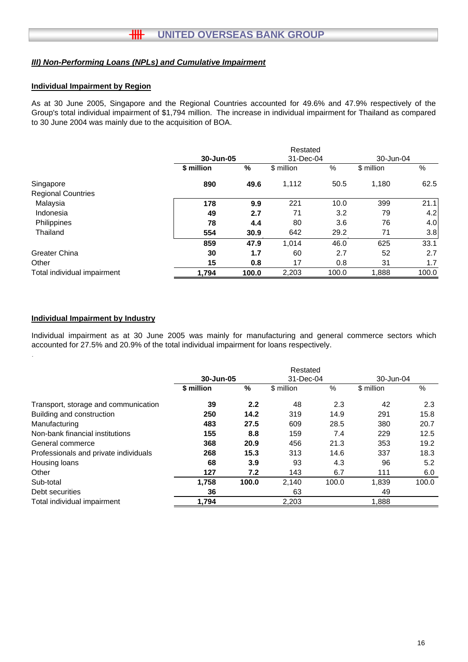#### *III) Non-Performing Loans (NPLs) and Cumulative Impairment*

#### **Individual Impairment by Region**

As at 30 June 2005, Singapore and the Regional Countries accounted for 49.6% and 47.9% respectively of the Group's total individual impairment of \$1,794 million. The increase in individual impairment for Thailand as compared to 30 June 2004 was mainly due to the acquisition of BOA.

|                             |            |       | Restated   |       |            |       |
|-----------------------------|------------|-------|------------|-------|------------|-------|
|                             | 30-Jun-05  |       | 31-Dec-04  |       | 30-Jun-04  |       |
|                             | \$ million | %     | \$ million | %     | \$ million | %     |
| Singapore                   | 890        | 49.6  | 1,112      | 50.5  | 1,180      | 62.5  |
| <b>Regional Countries</b>   |            |       |            |       |            |       |
| Malaysia                    | 178        | 9.9   | 221        | 10.0  | 399        | 21.1  |
| Indonesia                   | 49         | 2.7   | 71         | 3.2   | 79         | 4.2   |
| Philippines                 | 78         | 4.4   | 80         | 3.6   | 76         | 4.0   |
| Thailand                    | 554        | 30.9  | 642        | 29.2  | 71         | 3.8   |
|                             | 859        | 47.9  | 1.014      | 46.0  | 625        | 33.1  |
| <b>Greater China</b>        | 30         | 1.7   | 60         | 2.7   | 52         | 2.7   |
| Other                       | 15         | 0.8   | 17         | 0.8   | 31         | 1.7   |
| Total individual impairment | 1.794      | 100.0 | 2,203      | 100.0 | 1,888      | 100.0 |

#### **Individual Impairment by Industry**

.

Individual impairment as at 30 June 2005 was mainly for manufacturing and general commerce sectors which accounted for 27.5% and 20.9% of the total individual impairment for loans respectively.

|                                       | Restated   |               |            |       |            |       |  |
|---------------------------------------|------------|---------------|------------|-------|------------|-------|--|
|                                       | 30-Jun-05  |               | 31-Dec-04  |       | 30-Jun-04  |       |  |
|                                       | \$ million | $\frac{0}{0}$ | \$ million | $\%$  | \$ million | %     |  |
| Transport, storage and communication  | 39         | 2.2           | 48         | 2.3   | 42         | 2.3   |  |
| Building and construction             | 250        | 14.2          | 319        | 14.9  | 291        | 15.8  |  |
| Manufacturing                         | 483        | 27.5          | 609        | 28.5  | 380        | 20.7  |  |
| Non-bank financial institutions       | 155        | 8.8           | 159        | 7.4   | 229        | 12.5  |  |
| General commerce                      | 368        | 20.9          | 456        | 21.3  | 353        | 19.2  |  |
| Professionals and private individuals | 268        | 15.3          | 313        | 14.6  | 337        | 18.3  |  |
| Housing loans                         | 68         | 3.9           | 93         | 4.3   | 96         | 5.2   |  |
| Other                                 | 127        | 7.2           | 143        | 6.7   | 111        | 6.0   |  |
| Sub-total                             | 1.758      | 100.0         | 2,140      | 100.0 | 1,839      | 100.0 |  |
| Debt securities                       | 36         |               | 63         |       | 49         |       |  |
| Total individual impairment           | 1.794      |               | 2,203      |       | 1.888      |       |  |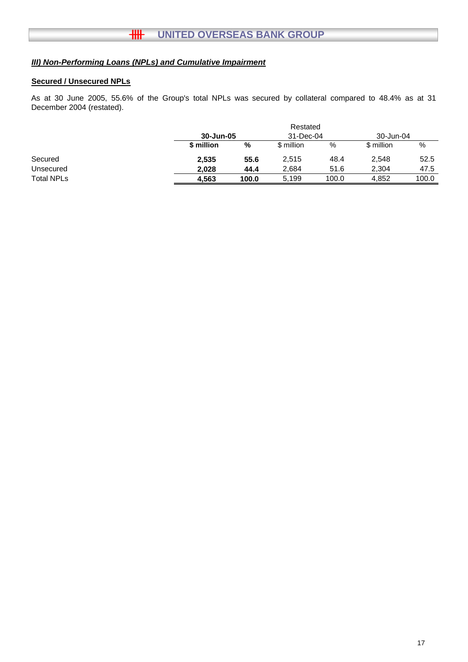## *III) Non-Performing Loans (NPLs) and Cumulative Impairment*

## **Secured / Unsecured NPLs**

As at 30 June 2005, 55.6% of the Group's total NPLs was secured by collateral compared to 48.4% as at 31 December 2004 (restated).

|                   |            |       | Restated   |       |            |       |
|-------------------|------------|-------|------------|-------|------------|-------|
|                   | 30-Jun-05  |       | 31-Dec-04  |       | 30-Jun-04  |       |
|                   | \$ million | %     | \$ million | %     | \$ million | %     |
| Secured           | 2,535      | 55.6  | 2,515      | 48.4  | 2,548      | 52.5  |
| Unsecured         | 2.028      | 44.4  | 2,684      | 51.6  | 2.304      | 47.5  |
| <b>Total NPLs</b> | 4.563      | 100.0 | 5,199      | 100.0 | 4.852      | 100.0 |
|                   |            |       |            |       |            |       |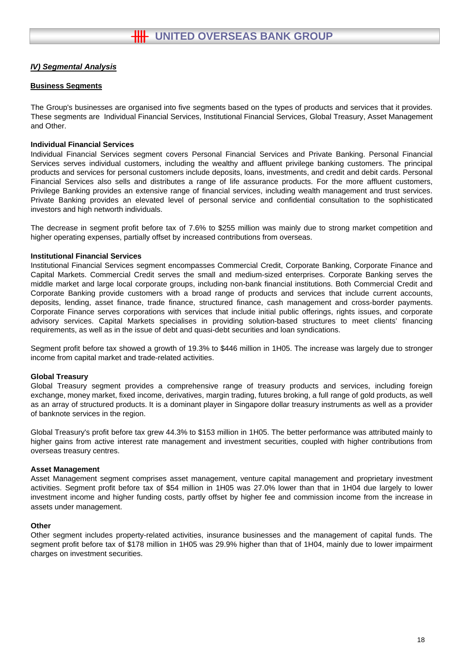#### **Business Segments**

The Group's businesses are organised into five segments based on the types of products and services that it provides. These segments are Individual Financial Services, Institutional Financial Services, Global Treasury, Asset Management and Other.

#### **Individual Financial Services**

Individual Financial Services segment covers Personal Financial Services and Private Banking. Personal Financial Services serves individual customers, including the wealthy and affluent privilege banking customers. The principal products and services for personal customers include deposits, loans, investments, and credit and debit cards. Personal Financial Services also sells and distributes a range of life assurance products. For the more affluent customers, Privilege Banking provides an extensive range of financial services, including wealth management and trust services. Private Banking provides an elevated level of personal service and confidential consultation to the sophisticated investors and high networth individuals.

The decrease in segment profit before tax of 7.6% to \$255 million was mainly due to strong market competition and higher operating expenses, partially offset by increased contributions from overseas.

#### **Institutional Financial Services**

Institutional Financial Services segment encompasses Commercial Credit, Corporate Banking, Corporate Finance and Capital Markets. Commercial Credit serves the small and medium-sized enterprises. Corporate Banking serves the middle market and large local corporate groups, including non-bank financial institutions. Both Commercial Credit and Corporate Banking provide customers with a broad range of products and services that include current accounts, deposits, lending, asset finance, trade finance, structured finance, cash management and cross-border payments. Corporate Finance serves corporations with services that include initial public offerings, rights issues, and corporate advisory services. Capital Markets specialises in providing solution-based structures to meet clients' financing requirements, as well as in the issue of debt and quasi-debt securities and loan syndications.

Segment profit before tax showed a growth of 19.3% to \$446 million in 1H05. The increase was largely due to stronger income from capital market and trade-related activities.

#### **Global Treasury**

Global Treasury segment provides a comprehensive range of treasury products and services, including foreign exchange, money market, fixed income, derivatives, margin trading, futures broking, a full range of gold products, as well as an array of structured products. It is a dominant player in Singapore dollar treasury instruments as well as a provider of banknote services in the region.

Global Treasury's profit before tax grew 44.3% to \$153 million in 1H05. The better performance was attributed mainly to higher gains from active interest rate management and investment securities, coupled with higher contributions from overseas treasury centres.

#### **Asset Management**

Asset Management segment comprises asset management, venture capital management and proprietary investment activities. Segment profit before tax of \$54 million in 1H05 was 27.0% lower than that in 1H04 due largely to lower investment income and higher funding costs, partly offset by higher fee and commission income from the increase in assets under management.

#### **Other**

Other segment includes property-related activities, insurance businesses and the management of capital funds. The segment profit before tax of \$178 million in 1H05 was 29.9% higher than that of 1H04, mainly due to lower impairment charges on investment securities.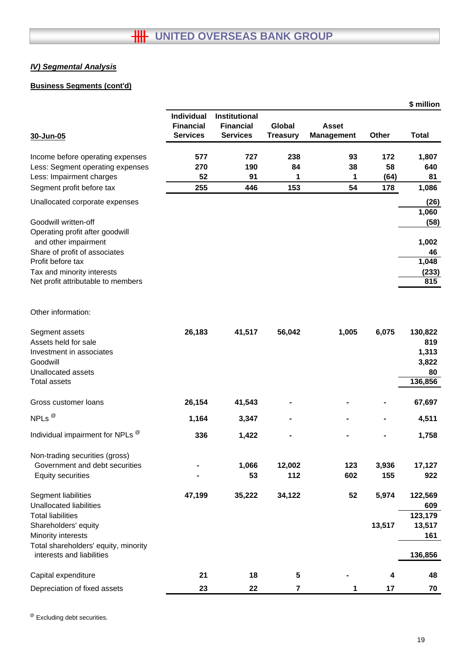## **Business Segments (cont'd)**

|                                                                   |                  |                  |                 |                   |        | \$ million   |
|-------------------------------------------------------------------|------------------|------------------|-----------------|-------------------|--------|--------------|
|                                                                   | Individual       | Institutional    |                 |                   |        |              |
|                                                                   | <b>Financial</b> | <b>Financial</b> | Global          | <b>Asset</b>      |        |              |
| 30-Jun-05                                                         | <b>Services</b>  | <b>Services</b>  | <b>Treasury</b> | <b>Management</b> | Other  | <b>Total</b> |
| Income before operating expenses                                  | 577              | 727              | 238             | 93                | 172    | 1,807        |
| Less: Segment operating expenses                                  | 270              | 190              | 84              | 38                | 58     | 640          |
| Less: Impairment charges                                          | 52               | 91               | 1               | 1                 | (64)   | 81           |
| Segment profit before tax                                         | 255              | 446              | 153             | 54                | 178    | 1,086        |
| Unallocated corporate expenses                                    |                  |                  |                 |                   |        | (26)         |
| Goodwill written-off                                              |                  |                  |                 |                   |        | 1,060        |
| Operating profit after goodwill                                   |                  |                  |                 |                   |        | (58)         |
| and other impairment                                              |                  |                  |                 |                   |        | 1,002        |
| Share of profit of associates                                     |                  |                  |                 |                   |        | 46           |
| Profit before tax                                                 |                  |                  |                 |                   |        | 1,048        |
| Tax and minority interests                                        |                  |                  |                 |                   |        | (233)        |
| Net profit attributable to members                                |                  |                  |                 |                   |        | 815          |
|                                                                   |                  |                  |                 |                   |        |              |
| Other information:                                                |                  |                  |                 |                   |        |              |
| Segment assets                                                    | 26,183           | 41,517           | 56,042          | 1,005             | 6,075  | 130,822      |
| Assets held for sale                                              |                  |                  |                 |                   |        | 819          |
| Investment in associates                                          |                  |                  |                 |                   |        | 1,313        |
| Goodwill                                                          |                  |                  |                 |                   |        | 3,822        |
| Unallocated assets                                                |                  |                  |                 |                   |        | 80           |
| <b>Total assets</b>                                               |                  |                  |                 |                   |        | 136,856      |
| Gross customer loans                                              | 26,154           | 41,543           |                 |                   |        | 67,697       |
| NPLs $^{\circledR}$                                               | 1,164            | 3,347            |                 |                   |        | 4,511        |
| Individual impairment for NPLs <sup>®</sup>                       | 336              | 1,422            |                 |                   |        | 1,758        |
| Non-trading securities (gross)                                    |                  |                  |                 |                   |        |              |
| Government and debt securities                                    |                  | 1,066            | 12,002          | 123               | 3,936  | 17,127       |
| <b>Equity securities</b>                                          |                  | 53               | 112             | 602               | 155    | 922          |
| Segment liabilities                                               | 47,199           | 35,222           | 34,122          | 52                | 5,974  | 122,569      |
| <b>Unallocated liabilities</b>                                    |                  |                  |                 |                   |        | 609          |
| <b>Total liabilities</b>                                          |                  |                  |                 |                   |        | 123,179      |
| Shareholders' equity                                              |                  |                  |                 |                   | 13,517 | 13,517       |
| Minority interests                                                |                  |                  |                 |                   |        | 161          |
| Total shareholders' equity, minority<br>interests and liabilities |                  |                  |                 |                   |        | 136,856      |
| Capital expenditure                                               | 21               | 18               | 5               |                   | 4      | 48           |
| Depreciation of fixed assets                                      | 23               | 22               | 7               | 1                 | 17     | 70           |

@ Excluding debt securities.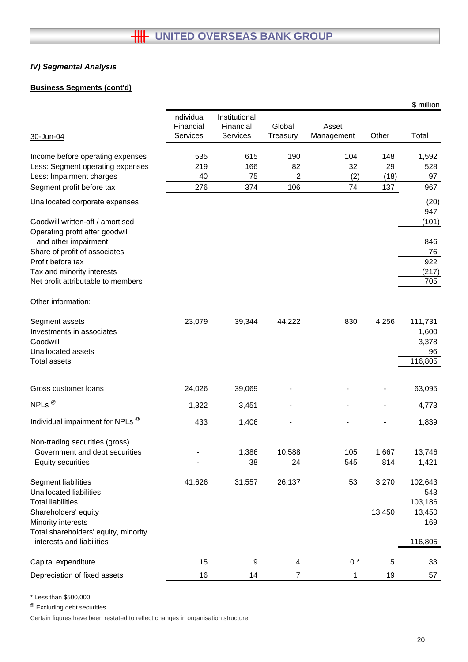## **Business Segments (cont'd)**

|                                                                     |                                            |                                        |                    |                     |            | \$ million     |
|---------------------------------------------------------------------|--------------------------------------------|----------------------------------------|--------------------|---------------------|------------|----------------|
| 30-Jun-04                                                           | Individual<br>Financial<br><b>Services</b> | Institutional<br>Financial<br>Services | Global<br>Treasury | Asset<br>Management | Other      | Total          |
|                                                                     |                                            |                                        |                    |                     |            |                |
| Income before operating expenses                                    | 535                                        | 615                                    | 190                | 104                 | 148        | 1,592          |
| Less: Segment operating expenses<br>Less: Impairment charges        | 219<br>40                                  | 166<br>75                              | 82<br>2            | 32<br>(2)           | 29<br>(18) | 528<br>97      |
| Segment profit before tax                                           | 276                                        | 374                                    | 106                | 74                  | 137        | 967            |
|                                                                     |                                            |                                        |                    |                     |            |                |
| Unallocated corporate expenses                                      |                                            |                                        |                    |                     |            | (20)<br>947    |
| Goodwill written-off / amortised<br>Operating profit after goodwill |                                            |                                        |                    |                     |            | (101)          |
| and other impairment                                                |                                            |                                        |                    |                     |            | 846            |
| Share of profit of associates<br>Profit before tax                  |                                            |                                        |                    |                     |            | 76<br>922      |
| Tax and minority interests                                          |                                            |                                        |                    |                     |            | (217)          |
| Net profit attributable to members                                  |                                            |                                        |                    |                     |            | 705            |
|                                                                     |                                            |                                        |                    |                     |            |                |
| Other information:                                                  |                                            |                                        |                    |                     |            |                |
| Segment assets                                                      | 23,079                                     | 39,344                                 | 44,222             | 830                 | 4,256      | 111,731        |
| Investments in associates                                           |                                            |                                        |                    |                     |            | 1,600          |
| Goodwill                                                            |                                            |                                        |                    |                     |            | 3,378          |
| Unallocated assets                                                  |                                            |                                        |                    |                     |            | 96             |
| Total assets                                                        |                                            |                                        |                    |                     |            | 116,805        |
| Gross customer loans                                                | 24,026                                     | 39,069                                 |                    |                     |            | 63,095         |
|                                                                     |                                            |                                        |                    |                     |            |                |
| NPLs $^{\circledR}$                                                 | 1,322                                      | 3,451                                  |                    |                     |            | 4,773          |
| Individual impairment for NPLs <sup>®</sup>                         | 433                                        | 1,406                                  |                    |                     |            | 1,839          |
| Non-trading securities (gross)                                      |                                            |                                        |                    |                     |            |                |
| Government and debt securities                                      |                                            | 1,386                                  | 10,588             | 105                 | 1,667      | 13,746         |
| <b>Equity securities</b>                                            |                                            | 38                                     | 24                 | 545                 | 814        | 1,421          |
| Segment liabilities<br><b>Unallocated liabilities</b>               | 41,626                                     | 31,557                                 | 26,137             | 53                  | 3,270      | 102,643<br>543 |
| <b>Total liabilities</b>                                            |                                            |                                        |                    |                     |            | 103,186        |
| Shareholders' equity                                                |                                            |                                        |                    |                     | 13,450     | 13,450         |
| Minority interests                                                  |                                            |                                        |                    |                     |            | 169            |
| Total shareholders' equity, minority<br>interests and liabilities   |                                            |                                        |                    |                     |            | 116,805        |
| Capital expenditure                                                 | 15                                         | 9                                      | 4                  | $0 *$               | 5          | 33             |
| Depreciation of fixed assets                                        | 16                                         | 14                                     | 7                  | 1                   | 19         | 57             |

\* Less than \$500,000.

@ Excluding debt securities.

Certain figures have been restated to reflect changes in organisation structure.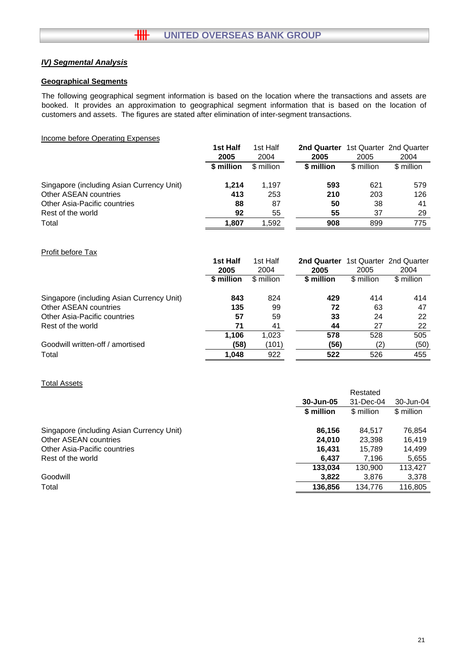#### **Geographical Segments**

The following geographical segment information is based on the location where the transactions and assets are booked. It provides an approximation to geographical segment information that is based on the location of customers and assets. The figures are stated after elimination of inter-segment transactions.

#### Income before Operating Expenses

|                                           | 1st Half   | 1st Half   | 2nd Quarter |            | 1st Quarter 2nd Quarter |
|-------------------------------------------|------------|------------|-------------|------------|-------------------------|
|                                           | 2005       | 2004       | 2005        | 2005       | 2004                    |
|                                           | \$ million | \$ million | \$ million  | \$ million | \$ million              |
| Singapore (including Asian Currency Unit) | 1.214      | 1.197      | 593         | 621        | 579                     |
| Other ASEAN countries                     | 413        | 253        | 210         | 203        | 126                     |
| Other Asia-Pacific countries              | 88         | 87         | 50          | 38         | 41                      |
| Rest of the world                         | 92         | 55         | 55          | 37         | 29                      |
| Total                                     | 1.807      | 1.592      | 908         | 899        | 775                     |

#### Profit before Tax

|                                           | 1st Half   | 1st Half   | 2nd Quarter |            | 1st Quarter 2nd Quarter |
|-------------------------------------------|------------|------------|-------------|------------|-------------------------|
|                                           | 2005       | 2004       | 2005        | 2005       | 2004                    |
|                                           | \$ million | \$ million | \$ million  | \$ million | \$ million              |
| Singapore (including Asian Currency Unit) | 843        | 824        | 429         | 414        | 414                     |
| Other ASEAN countries                     | 135        | 99         | 72          | 63         | 47                      |
| Other Asia-Pacific countries              | 57         | 59         | 33          | 24         | 22                      |
| Rest of the world                         | 71         | 41         | 44          | 27         | 22                      |
|                                           | 1.106      | 1.023      | 578         | 528        | 505                     |
| Goodwill written-off / amortised          | (58)       | (101)      | (56)        | (2)        | (50)                    |
| Total                                     | 1,048      | 922        | 522         | 526        | 455                     |

#### Total Assets

|                                           |                        | Restated   |            |
|-------------------------------------------|------------------------|------------|------------|
|                                           | 30-Jun-05<br>31-Dec-04 |            | 30-Jun-04  |
|                                           | \$ million             | \$ million | \$ million |
| Singapore (including Asian Currency Unit) | 86,156                 | 84.517     | 76,854     |
| Other ASEAN countries                     | 24.010                 | 23,398     | 16.419     |
| Other Asia-Pacific countries              | 16.431                 | 15.789     | 14,499     |
| Rest of the world                         | 6.437                  | 7.196      | 5,655      |
|                                           | 133.034                | 130.900    | 113.427    |
| Goodwill                                  | 3.822                  | 3,876      | 3,378      |
| Total                                     | 136,856                | 134,776    | 116,805    |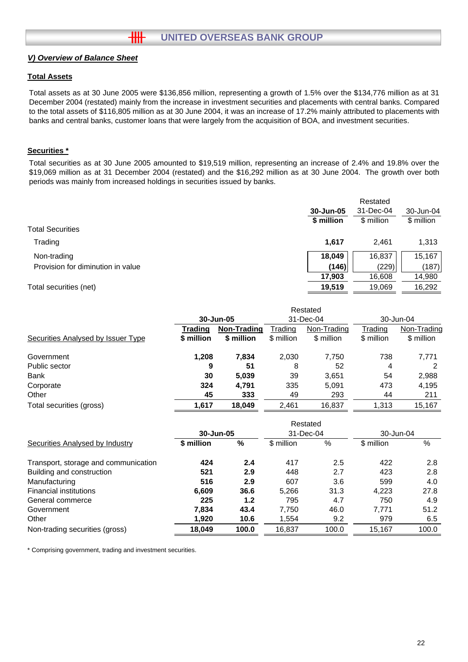#### **Total Assets**

Total assets as at 30 June 2005 were \$136,856 million, representing a growth of 1.5% over the \$134,776 million as at 31 December 2004 (restated) mainly from the increase in investment securities and placements with central banks. Compared to the total assets of \$116,805 million as at 30 June 2004, it was an increase of 17.2% mainly attributed to placements with banks and central banks, customer loans that were largely from the acquisition of BOA, and investment securities.

## **Securities \***

Total securities as at 30 June 2005 amounted to \$19,519 million, representing an increase of 2.4% and 19.8% over the \$19,069 million as at 31 December 2004 (restated) and the \$16,292 million as at 30 June 2004. The growth over both periods was mainly from increased holdings in securities issued by banks.

|                                   | Restated   |            |            |  |
|-----------------------------------|------------|------------|------------|--|
|                                   | 30-Jun-05  | 31-Dec-04  | 30-Jun-04  |  |
|                                   | \$ million | \$ million | \$ million |  |
| <b>Total Securities</b>           |            |            |            |  |
| Trading                           | 1,617      | 2.461      | 1,313      |  |
| Non-trading                       | 18,049     | 16,837     | 15,167     |  |
| Provision for diminution in value | (146)      | (229)      | (187)      |  |
|                                   | 17,903     | 16,608     | 14,980     |  |
| Total securities (net)            | 19.519     | 19.069     | 16,292     |  |

|                                    |            |             |            | Restated    |            |             |
|------------------------------------|------------|-------------|------------|-------------|------------|-------------|
|                                    |            | 30-Jun-05   |            | 31-Dec-04   |            | 30-Jun-04   |
|                                    | Trading    | Non-Trading | Trading    | Non-Trading | Trading    | Non-Trading |
| Securities Analysed by Issuer Type | \$ million | \$ million  | \$ million | \$ million  | \$ million | \$ million  |
| Government                         | 1,208      | 7,834       | 2,030      | 7,750       | 738        | 7,771       |
| Public sector                      | 9          | 51          | 8          | 52          | 4          |             |
| <b>Bank</b>                        | 30         | 5,039       | 39         | 3,651       | 54         | 2,988       |
| Corporate                          | 324        | 4.791       | 335        | 5,091       | 473        | 4,195       |
| Other                              | 45         | 333         | 49         | 293         | 44         | 211         |
| Total securities (gross)           | 1.617      | 18.049      | 2.461      | 16,837      | 1.313      | 15.167      |

|                                      |            |       | Restated   |       |            |       |
|--------------------------------------|------------|-------|------------|-------|------------|-------|
|                                      | 30-Jun-05  |       | 31-Dec-04  |       | 30-Jun-04  |       |
| Securities Analysed by Industry      | \$ million | %     | \$ million | %     | \$ million | %     |
| Transport, storage and communication | 424        | 2.4   | 417        | 2.5   | 422        | 2.8   |
| Building and construction            | 521        | 2.9   | 448        | 2.7   | 423        | 2.8   |
| Manufacturing                        | 516        | 2.9   | 607        | 3.6   | 599        | 4.0   |
| <b>Financial institutions</b>        | 6,609      | 36.6  | 5.266      | 31.3  | 4.223      | 27.8  |
| General commerce                     | 225        | 1.2   | 795        | 4.7   | 750        | 4.9   |
| Government                           | 7.834      | 43.4  | 7,750      | 46.0  | 7.771      | 51.2  |
| Other                                | 1,920      | 10.6  | 1,554      | 9.2   | 979        | 6.5   |
| Non-trading securities (gross)       | 18,049     | 100.0 | 16,837     | 100.0 | 15,167     | 100.0 |

\* Comprising government, trading and investment securities.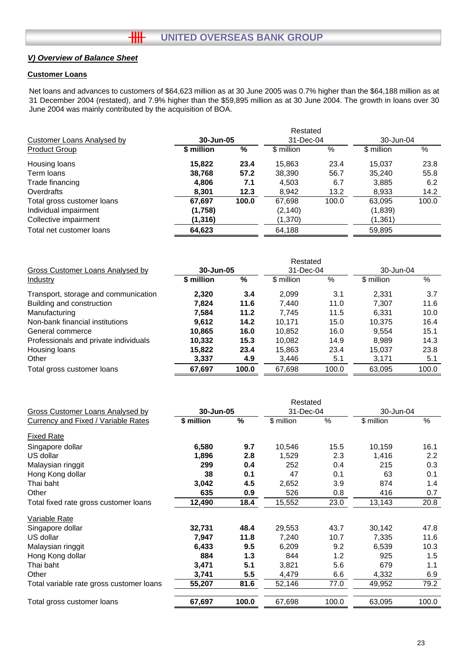#### **Customer Loans**

Net loans and advances to customers of \$64,623 million as at 30 June 2005 was 0.7% higher than the \$64,188 million as at 31 December 2004 (restated), and 7.9% higher than the \$59,895 million as at 30 June 2004. The growth in loans over 30 June 2004 was mainly contributed by the acquisition of BOA.

|                                   |            |       | Restated   |       |            |       |
|-----------------------------------|------------|-------|------------|-------|------------|-------|
| <b>Customer Loans Analysed by</b> | 30-Jun-05  |       | 31-Dec-04  |       | 30-Jun-04  |       |
| <b>Product Group</b>              | \$ million | %     | \$ million | %     | \$ million | %     |
| Housing loans                     | 15,822     | 23.4  | 15,863     | 23.4  | 15.037     | 23.8  |
| Term loans                        | 38,768     | 57.2  | 38,390     | 56.7  | 35,240     | 55.8  |
| Trade financing                   | 4,806      | 7.1   | 4,503      | 6.7   | 3,885      | 6.2   |
| Overdrafts                        | 8,301      | 12.3  | 8,942      | 13.2  | 8,933      | 14.2  |
| Total gross customer loans        | 67.697     | 100.0 | 67,698     | 100.0 | 63,095     | 100.0 |
| Individual impairment             | (1,758)    |       | (2, 140)   |       | (1,839)    |       |
| Collective impairment             | (1,316)    |       | (1,370)    |       | (1, 361)   |       |
| Total net customer loans          | 64,623     |       | 64,188     |       | 59,895     |       |

|                                       |            |       | Restated   |       |            |       |
|---------------------------------------|------------|-------|------------|-------|------------|-------|
| Gross Customer Loans Analysed by      | 30-Jun-05  |       | 31-Dec-04  |       | 30-Jun-04  |       |
| Industry                              | \$ million | %     | \$ million | %     | \$ million | $\%$  |
| Transport, storage and communication  | 2,320      | 3.4   | 2.099      | 3.1   | 2.331      | 3.7   |
| Building and construction             | 7.824      | 11.6  | 7.440      | 11.0  | 7.307      | 11.6  |
| Manufacturing                         | 7.584      | 11.2  | 7.745      | 11.5  | 6,331      | 10.0  |
| Non-bank financial institutions       | 9.612      | 14.2  | 10.171     | 15.0  | 10.375     | 16.4  |
| General commerce                      | 10.865     | 16.0  | 10.852     | 16.0  | 9.554      | 15.1  |
| Professionals and private individuals | 10,332     | 15.3  | 10.082     | 14.9  | 8.989      | 14.3  |
| Housing loans                         | 15,822     | 23.4  | 15,863     | 23.4  | 15.037     | 23.8  |
| Other                                 | 3,337      | 4.9   | 3,446      | 5.1   | 3,171      | 5.1   |
| Total gross customer loans            | 67,697     | 100.0 | 67,698     | 100.0 | 63,095     | 100.0 |

|                                          |            |       | Restated   |       |            |       |
|------------------------------------------|------------|-------|------------|-------|------------|-------|
| <b>Gross Customer Loans Analysed by</b>  | 30-Jun-05  |       | 31-Dec-04  |       | 30-Jun-04  |       |
| Currency and Fixed / Variable Rates      | \$ million | $\%$  | \$ million | $\%$  | \$ million | $\%$  |
| <b>Fixed Rate</b>                        |            |       |            |       |            |       |
| Singapore dollar                         | 6,580      | 9.7   | 10,546     | 15.5  | 10,159     | 16.1  |
| US dollar                                | 1,896      | 2.8   | 1,529      | 2.3   | 1,416      | 2.2   |
| Malaysian ringgit                        | 299        | 0.4   | 252        | 0.4   | 215        | 0.3   |
| Hong Kong dollar                         | 38         | 0.1   | 47         | 0.1   | 63         | 0.1   |
| Thai baht                                | 3,042      | 4.5   | 2,652      | 3.9   | 874        | 1.4   |
| Other                                    | 635        | 0.9   | 526        | 0.8   | 416        | 0.7   |
| Total fixed rate gross customer loans    | 12,490     | 18.4  | 15,552     | 23.0  |            | 20.8  |
| <b>Variable Rate</b>                     |            |       |            |       |            |       |
| Singapore dollar                         | 32,731     | 48.4  | 29,553     | 43.7  | 30,142     | 47.8  |
| US dollar                                | 7,947      | 11.8  | 7,240      | 10.7  | 7,335      | 11.6  |
| Malaysian ringgit                        | 6,433      | 9.5   | 6,209      | 9.2   | 6,539      | 10.3  |
| Hong Kong dollar                         | 884        | 1.3   | 844        | 1.2   | 925        | 1.5   |
| Thai baht                                | 3,471      | 5.1   | 3,821      | 5.6   | 679        | 1.1   |
| Other                                    | 3,741      | 5.5   | 4,479      | 6.6   | 4,332      | 6.9   |
| Total variable rate gross customer loans | 55,207     | 81.6  | 52,146     | 77.0  | 49,952     | 79.2  |
| Total gross customer loans               | 67,697     | 100.0 | 67,698     | 100.0 | 63,095     | 100.0 |
|                                          |            |       |            |       |            |       |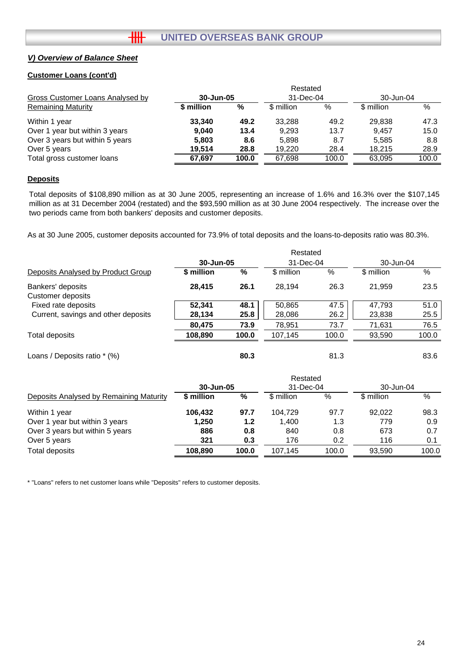#### **Customer Loans (cont'd)**

|                                  |            |       | Restated   |       |            |       |
|----------------------------------|------------|-------|------------|-------|------------|-------|
| Gross Customer Loans Analysed by | 30-Jun-05  |       | 31-Dec-04  |       | 30-Jun-04  |       |
| <b>Remaining Maturity</b>        | \$ million | %     | \$ million | %     | \$ million | $\%$  |
| Within 1 year                    | 33,340     | 49.2  | 33.288     | 49.2  | 29,838     | 47.3  |
| Over 1 year but within 3 years   | 9.040      | 13.4  | 9.293      | 13.7  | 9.457      | 15.0  |
| Over 3 years but within 5 years  | 5,803      | 8.6   | 5,898      | 8.7   | 5,585      | 8.8   |
| Over 5 years                     | 19.514     | 28.8  | 19.220     | 28.4  | 18.215     | 28.9  |
| Total gross customer loans       | 67,697     | 100.0 | 67,698     | 100.0 | 63,095     | 100.0 |

#### **Deposits**

Total deposits of \$108,890 million as at 30 June 2005, representing an increase of 1.6% and 16.3% over the \$107,145 million as at 31 December 2004 (restated) and the \$93,590 million as at 30 June 2004 respectively. The increase over the two periods came from both bankers' deposits and customer deposits.

As at 30 June 2005, customer deposits accounted for 73.9% of total deposits and the loans-to-deposits ratio was 80.3%.

|                                        |            |       | Restated   |           |                 |           |
|----------------------------------------|------------|-------|------------|-----------|-----------------|-----------|
|                                        | 30-Jun-05  |       |            | 31-Dec-04 |                 | 30-Jun-04 |
| Deposits Analysed by Product Group     | \$ million | %     | \$ million | %         | %<br>\$ million |           |
| Bankers' deposits<br>Customer deposits | 28,415     | 26.1  | 28.194     | 26.3      | 21.959          | 23.5      |
| Fixed rate deposits                    | 52.341     | 48.1  | 50,865     | 47.5      | 47.793          | 51.0      |
| Current, savings and other deposits    | 28,134     | 25.8  | 28,086     | 26.2      | 23,838          | 25.5      |
|                                        | 80,475     | 73.9  | 78,951     | 73.7      | 71,631          | 76.5      |
| Total deposits                         | 108,890    | 100.0 | 107,145    | 100.0     | 93,590          | 100.0     |
| Loans / Deposits ratio * (%)           |            | 80.3  |            | 81.3      |                 | 83.6      |

|                                         |            |       | Restated   |       |            |       |
|-----------------------------------------|------------|-------|------------|-------|------------|-------|
|                                         | 30-Jun-05  |       | 31-Dec-04  |       | 30-Jun-04  |       |
| Deposits Analysed by Remaining Maturity | \$ million | %     | \$ million | %     | \$ million | %     |
| Within 1 year                           | 106,432    | 97.7  | 104.729    | 97.7  | 92.022     | 98.3  |
| Over 1 year but within 3 years          | 1,250      | 1.2   | 1.400      | 1.3   | 779        | 0.9   |
| Over 3 years but within 5 years         | 886        | 0.8   | 840        | 0.8   | 673        | 0.7   |
| Over 5 years                            | 321        | 0.3   | 176        | 0.2   | 116        | 0.1   |
| Total deposits                          | 108.890    | 100.0 | 107.145    | 100.0 | 93.590     | 100.0 |

\* "Loans" refers to net customer loans while "Deposits" refers to customer deposits.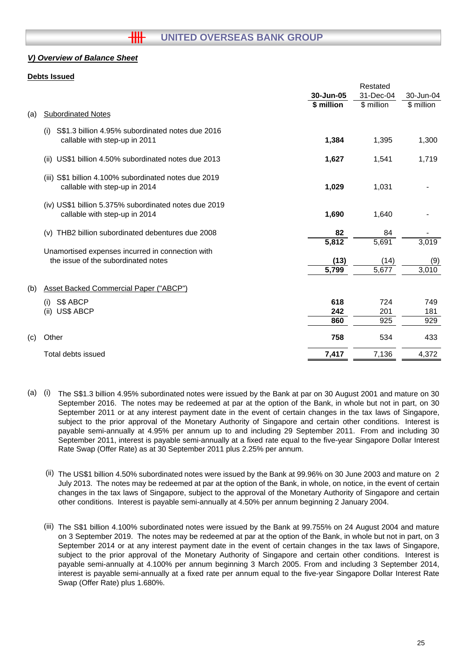#### **Debts Issued**

|     |                                                                                          |            | Restated   |            |
|-----|------------------------------------------------------------------------------------------|------------|------------|------------|
|     |                                                                                          | 30-Jun-05  | 31-Dec-04  | 30-Jun-04  |
|     |                                                                                          | \$ million | \$ million | \$ million |
| (a) | <b>Subordinated Notes</b>                                                                |            |            |            |
|     | S\$1.3 billion 4.95% subordinated notes due 2016<br>(i)<br>callable with step-up in 2011 | 1,384      | 1,395      | 1,300      |
|     | US\$1 billion 4.50% subordinated notes due 2013<br>(ii)                                  | 1,627      | 1,541      | 1,719      |
|     | (iii) S\$1 billion 4.100% subordinated notes due 2019<br>callable with step-up in 2014   | 1,029      | 1,031      |            |
|     | (iv) US\$1 billion 5.375% subordinated notes due 2019<br>callable with step-up in 2014   | 1,690      | 1,640      |            |
|     | THB2 billion subordinated debentures due 2008<br>(v)                                     | 82         | 84         |            |
|     |                                                                                          | 5,812      | 5,691      | 3,019      |
|     | Unamortised expenses incurred in connection with                                         |            |            |            |
|     | the issue of the subordinated notes                                                      | (13)       | (14)       | (9)        |
|     |                                                                                          | 5,799      | 5,677      | 3,010      |
| (b) | <b>Asset Backed Commercial Paper ("ABCP")</b>                                            |            |            |            |
|     | S\$ ABCP<br>(i)                                                                          | 618        | 724        | 749        |
|     | (ii)<br><b>US\$ ABCP</b>                                                                 | 242        | 201        | 181        |
|     |                                                                                          | 860        | 925        | 929        |
| (c) | Other                                                                                    | 758        | 534        | 433        |
|     | Total debts issued                                                                       | 7,417      | 7,136      | 4,372      |
|     |                                                                                          |            |            |            |

- (a) (i) The S\$1.3 billion 4.95% subordinated notes were issued by the Bank at par on 30 August 2001 and mature on 30 September 2016. The notes may be redeemed at par at the option of the Bank, in whole but not in part, on 30 September 2011 or at any interest payment date in the event of certain changes in the tax laws of Singapore, subject to the prior approval of the Monetary Authority of Singapore and certain other conditions. Interest is payable semi-annually at 4.95% per annum up to and including 29 September 2011. From and including 30 September 2011, interest is payable semi-annually at a fixed rate equal to the five-year Singapore Dollar Interest Rate Swap (Offer Rate) as at 30 September 2011 plus 2.25% per annum.
	- (ii) The US\$1 billion 4.50% subordinated notes were issued by the Bank at 99.96% on 30 June 2003 and mature on 2 July 2013. The notes may be redeemed at par at the option of the Bank, in whole, on notice, in the event of certain changes in the tax laws of Singapore, subject to the approval of the Monetary Authority of Singapore and certain other conditions. Interest is payable semi-annually at 4.50% per annum beginning 2 January 2004.
	- (iii) The S\$1 billion 4.100% subordinated notes were issued by the Bank at 99.755% on 24 August 2004 and mature on 3 September 2019. The notes may be redeemed at par at the option of the Bank, in whole but not in part, on 3 September 2014 or at any interest payment date in the event of certain changes in the tax laws of Singapore, subject to the prior approval of the Monetary Authority of Singapore and certain other conditions. Interest is payable semi-annually at 4.100% per annum beginning 3 March 2005. From and including 3 September 2014, interest is payable semi-annually at a fixed rate per annum equal to the five-year Singapore Dollar Interest Rate Swap (Offer Rate) plus 1.680%.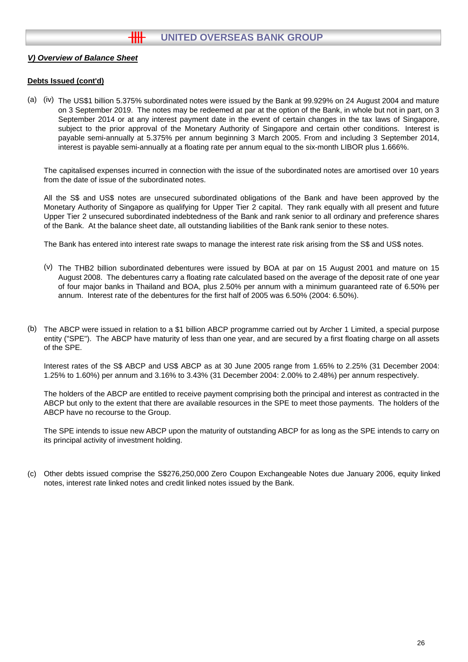#### **Debts Issued (cont'd)**

(a) (iv) The US\$1 billion 5.375% subordinated notes were issued by the Bank at 99.929% on 24 August 2004 and mature on 3 September 2019. The notes may be redeemed at par at the option of the Bank, in whole but not in part, on 3 September 2014 or at any interest payment date in the event of certain changes in the tax laws of Singapore, subject to the prior approval of the Monetary Authority of Singapore and certain other conditions. Interest is payable semi-annually at 5.375% per annum beginning 3 March 2005. From and including 3 September 2014, interest is payable semi-annually at a floating rate per annum equal to the six-month LIBOR plus 1.666%.

The capitalised expenses incurred in connection with the issue of the subordinated notes are amortised over 10 years from the date of issue of the subordinated notes.

All the S\$ and US\$ notes are unsecured subordinated obligations of the Bank and have been approved by the Monetary Authority of Singapore as qualifying for Upper Tier 2 capital. They rank equally with all present and future Upper Tier 2 unsecured subordinated indebtedness of the Bank and rank senior to all ordinary and preference shares of the Bank. At the balance sheet date, all outstanding liabilities of the Bank rank senior to these notes.

The Bank has entered into interest rate swaps to manage the interest rate risk arising from the S\$ and US\$ notes.

- (v) The THB2 billion subordinated debentures were issued by BOA at par on 15 August 2001 and mature on 15 August 2008. The debentures carry a floating rate calculated based on the average of the deposit rate of one year of four major banks in Thailand and BOA, plus 2.50% per annum with a minimum guaranteed rate of 6.50% per annum. Interest rate of the debentures for the first half of 2005 was 6.50% (2004: 6.50%).
- (b) The ABCP were issued in relation to a \$1 billion ABCP programme carried out by Archer 1 Limited, a special purpose entity ("SPE"). The ABCP have maturity of less than one year, and are secured by a first floating charge on all assets of the SPE.

Interest rates of the S\$ ABCP and US\$ ABCP as at 30 June 2005 range from 1.65% to 2.25% (31 December 2004: 1.25% to 1.60%) per annum and 3.16% to 3.43% (31 December 2004: 2.00% to 2.48%) per annum respectively.

The holders of the ABCP are entitled to receive payment comprising both the principal and interest as contracted in the ABCP but only to the extent that there are available resources in the SPE to meet those payments. The holders of the ABCP have no recourse to the Group.

The SPE intends to issue new ABCP upon the maturity of outstanding ABCP for as long as the SPE intends to carry on its principal activity of investment holding.

(c) Other debts issued comprise the S\$276,250,000 Zero Coupon Exchangeable Notes due January 2006, equity linked notes, interest rate linked notes and credit linked notes issued by the Bank.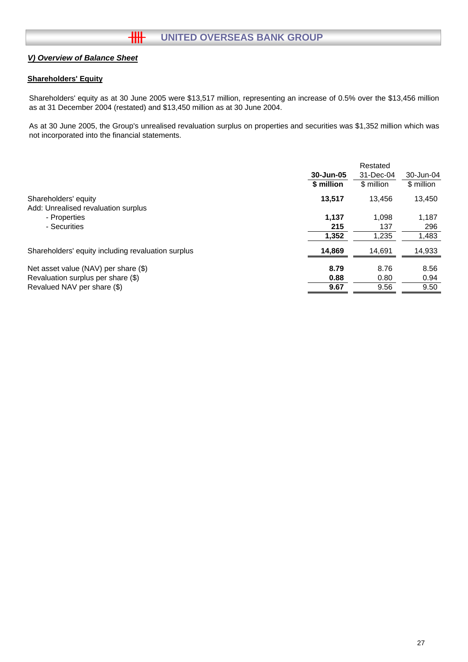### **Shareholders' Equity**

Shareholders' equity as at 30 June 2005 were \$13,517 million, representing an increase of 0.5% over the \$13,456 million as at 31 December 2004 (restated) and \$13,450 million as at 30 June 2004.

As at 30 June 2005, the Group's unrealised revaluation surplus on properties and securities was \$1,352 million which was not incorporated into the financial statements.

|                                                    |            | Restated   |            |
|----------------------------------------------------|------------|------------|------------|
|                                                    | 30-Jun-05  | 31-Dec-04  | 30-Jun-04  |
|                                                    | \$ million | \$ million | \$ million |
| Shareholders' equity                               | 13.517     | 13.456     | 13,450     |
| Add: Unrealised revaluation surplus                |            |            |            |
| - Properties                                       | 1.137      | 1,098      | 1,187      |
| - Securities                                       | 215        | 137        | 296        |
|                                                    | 1,352      | 1,235      | 1,483      |
| Shareholders' equity including revaluation surplus | 14,869     | 14,691     | 14,933     |
| Net asset value (NAV) per share (\$)               | 8.79       | 8.76       | 8.56       |
| Revaluation surplus per share (\$)                 | 0.88       | 0.80       | 0.94       |
| Revalued NAV per share (\$)                        | 9.67       | 9.56       | 9.50       |
|                                                    |            |            |            |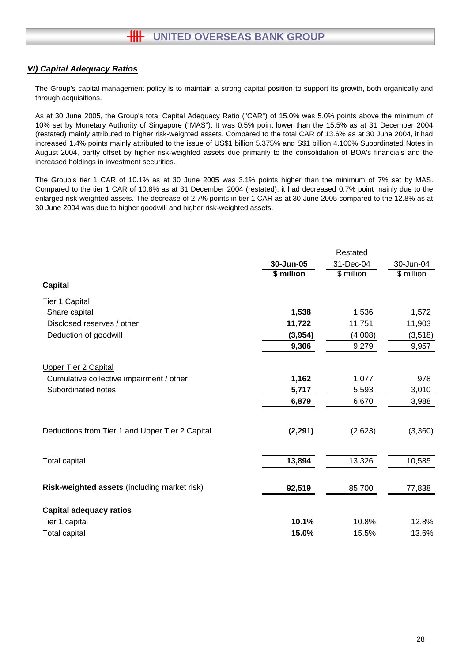## *VI) Capital Adequacy Ratios*

The Group's capital management policy is to maintain a strong capital position to support its growth, both organically and through acquisitions.

As at 30 June 2005, the Group's total Capital Adequacy Ratio ("CAR") of 15.0% was 5.0% points above the minimum of 10% set by Monetary Authority of Singapore ("MAS"). It was 0.5% point lower than the 15.5% as at 31 December 2004 (restated) mainly attributed to higher risk-weighted assets. Compared to the total CAR of 13.6% as at 30 June 2004, it had increased 1.4% points mainly attributed to the issue of US\$1 billion 5.375% and S\$1 billion 4.100% Subordinated Notes in August 2004, partly offset by higher risk-weighted assets due primarily to the consolidation of BOA's financials and the increased holdings in investment securities.

The Group's tier 1 CAR of 10.1% as at 30 June 2005 was 3.1% points higher than the minimum of 7% set by MAS. Compared to the tier 1 CAR of 10.8% as at 31 December 2004 (restated), it had decreased 0.7% point mainly due to the enlarged risk-weighted assets. The decrease of 2.7% points in tier 1 CAR as at 30 June 2005 compared to the 12.8% as at 30 June 2004 was due to higher goodwill and higher risk-weighted assets.

|                                                 |            | Restated   |            |
|-------------------------------------------------|------------|------------|------------|
|                                                 | 30-Jun-05  | 31-Dec-04  | 30-Jun-04  |
|                                                 | \$ million | \$ million | \$ million |
| <b>Capital</b>                                  |            |            |            |
| Tier 1 Capital                                  |            |            |            |
| Share capital                                   | 1,538      | 1,536      | 1,572      |
| Disclosed reserves / other                      | 11,722     | 11,751     | 11,903     |
| Deduction of goodwill                           | (3,954)    | (4,008)    | (3, 518)   |
|                                                 | 9,306      | 9,279      | 9,957      |
| <b>Upper Tier 2 Capital</b>                     |            |            |            |
| Cumulative collective impairment / other        | 1,162      | 1,077      | 978        |
| Subordinated notes                              | 5,717      | 5,593      | 3,010      |
|                                                 | 6,879      | 6,670      | 3,988      |
|                                                 |            |            |            |
| Deductions from Tier 1 and Upper Tier 2 Capital | (2, 291)   | (2,623)    | (3,360)    |
|                                                 |            |            |            |
| <b>Total capital</b>                            | 13,894     | 13,326     | 10,585     |
|                                                 |            |            |            |
| Risk-weighted assets (including market risk)    | 92,519     | 85,700     | 77,838     |
| <b>Capital adequacy ratios</b>                  |            |            |            |
| Tier 1 capital                                  | 10.1%      | 10.8%      | 12.8%      |
| <b>Total capital</b>                            | 15.0%      | 15.5%      | 13.6%      |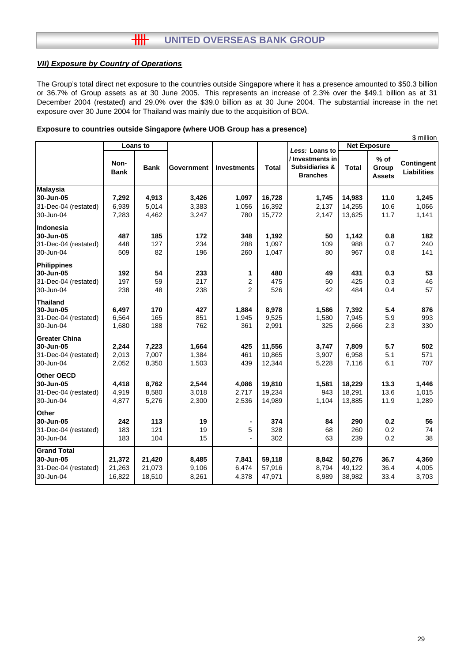## **HH UNITED OVERSEAS BANK GROUP**

### *VII) Exposure by Country of Operations*

The Group's total direct net exposure to the countries outside Singapore where it has a presence amounted to \$50.3 billion or 36.7% of Group assets as at 30 June 2005. This represents an increase of 2.3% over the \$49.1 billion as at 31 December 2004 (restated) and 29.0% over the \$39.0 billion as at 30 June 2004. The substantial increase in the net exposure over 30 June 2004 for Thailand was mainly due to the acquisition of BOA.

#### **Exposure to countries outside Singapore (where UOB Group has a presence)**

|                      |                     |             |            |                    |              |                                                                  |              |                                | \$ million                       |
|----------------------|---------------------|-------------|------------|--------------------|--------------|------------------------------------------------------------------|--------------|--------------------------------|----------------------------------|
|                      |                     | Loans to    |            |                    |              | Less: Loans to                                                   |              | <b>Net Exposure</b>            |                                  |
|                      | Non-<br><b>Bank</b> | <b>Bank</b> | Government | <b>Investments</b> | <b>Total</b> | / Investments in<br><b>Subsidiaries &amp;</b><br><b>Branches</b> | <b>Total</b> | % of<br>Group<br><b>Assets</b> | Contingent<br><b>Liabilities</b> |
| <b>Malaysia</b>      |                     |             |            |                    |              |                                                                  |              |                                |                                  |
| 30-Jun-05            | 7,292               | 4,913       | 3,426      | 1,097              | 16,728       | 1,745                                                            | 14,983       | 11.0                           | 1,245                            |
| 31-Dec-04 (restated) | 6,939               | 5,014       | 3,383      | 1,056              | 16,392       | 2,137                                                            | 14,255       | 10.6                           | 1,066                            |
| 30-Jun-04            | 7,283               | 4,462       | 3,247      | 780                | 15,772       | 2,147                                                            | 13,625       | 11.7                           | 1,141                            |
| Indonesia            |                     |             |            |                    |              |                                                                  |              |                                |                                  |
| 30-Jun-05            | 487                 | 185         | 172        | 348                | 1,192        | 50                                                               | 1,142        | 0.8                            | 182                              |
| 31-Dec-04 (restated) | 448                 | 127         | 234        | 288                | 1,097        | 109                                                              | 988          | 0.7                            | 240                              |
| 30-Jun-04            | 509                 | 82          | 196        | 260                | 1,047        | 80                                                               | 967          | 0.8                            | 141                              |
| Philippines          |                     |             |            |                    |              |                                                                  |              |                                |                                  |
| 30-Jun-05            | 192                 | 54          | 233        | 1                  | 480          | 49                                                               | 431          | 0.3                            | 53                               |
| 31-Dec-04 (restated) | 197                 | 59          | 217        | $\overline{c}$     | 475          | 50                                                               | 425          | 0.3                            | 46                               |
| 30-Jun-04            | 238                 | 48          | 238        | $\overline{2}$     | 526          | 42                                                               | 484          | 0.4                            | 57                               |
| <b>Thailand</b>      |                     |             |            |                    |              |                                                                  |              |                                |                                  |
| 30-Jun-05            | 6,497               | 170         | 427        | 1,884              | 8,978        | 1,586                                                            | 7,392        | 5.4                            | 876                              |
| 31-Dec-04 (restated) | 6,564               | 165         | 851        | 1,945              | 9,525        | 1,580                                                            | 7,945        | 5.9                            | 993                              |
| 30-Jun-04            | 1,680               | 188         | 762        | 361                | 2,991        | 325                                                              | 2,666        | 2.3                            | 330                              |
| <b>Greater China</b> |                     |             |            |                    |              |                                                                  |              |                                |                                  |
| 30-Jun-05            | 2,244               | 7,223       | 1,664      | 425                | 11,556       | 3,747                                                            | 7,809        | 5.7                            | 502                              |
| 31-Dec-04 (restated) | 2,013               | 7,007       | 1,384      | 461                | 10,865       | 3,907                                                            | 6,958        | 5.1                            | 571                              |
| 30-Jun-04            | 2,052               | 8,350       | 1,503      | 439                | 12,344       | 5,228                                                            | 7,116        | 6.1                            | 707                              |
| <b>Other OECD</b>    |                     |             |            |                    |              |                                                                  |              |                                |                                  |
| 30-Jun-05            | 4,418               | 8,762       | 2,544      | 4,086              | 19,810       | 1,581                                                            | 18,229       | 13.3                           | 1,446                            |
| 31-Dec-04 (restated) | 4,919               | 8,580       | 3,018      | 2,717              | 19,234       | 943                                                              | 18,291       | 13.6                           | 1,015                            |
| 30-Jun-04            | 4,877               | 5,276       | 2,300      | 2,536              | 14,989       | 1,104                                                            | 13,885       | 11.9                           | 1,289                            |
| <b>Other</b>         |                     |             |            |                    |              |                                                                  |              |                                |                                  |
| 30-Jun-05            | 242                 | 113         | 19         |                    | 374          | 84                                                               | 290          | 0.2                            | 56                               |
| 31-Dec-04 (restated) | 183                 | 121         | 19         | 5                  | 328          | 68                                                               | 260          | 0.2                            | 74                               |
| 30-Jun-04            | 183                 | 104         | 15         |                    | 302          | 63                                                               | 239          | 0.2                            | 38                               |
| <b>Grand Total</b>   |                     |             |            |                    |              |                                                                  |              |                                |                                  |
| 30-Jun-05            | 21,372              | 21,420      | 8,485      | 7,841              | 59,118       | 8,842                                                            | 50,276       | 36.7                           | 4,360                            |
| 31-Dec-04 (restated) | 21,263              | 21,073      | 9,106      | 6,474              | 57,916       | 8,794                                                            | 49,122       | 36.4                           | 4,005                            |
| 30-Jun-04            | 16,822              | 18,510      | 8,261      | 4,378              | 47,971       | 8,989                                                            | 38,982       | 33.4                           | 3,703                            |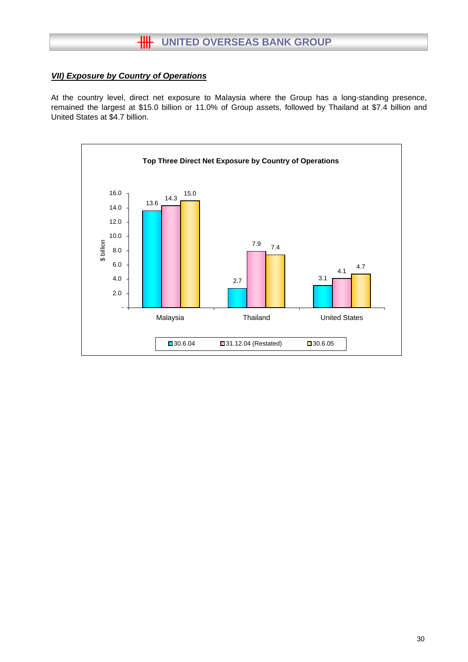## **HH** UNITED OVERSEAS BANK GROUP

## *VII) Exposure by Country of Operations*

At the country level, direct net exposure to Malaysia where the Group has a long-standing presence, remained the largest at \$15.0 billion or 11.0% of Group assets, followed by Thailand at \$7.4 billion and United States at \$4.7 billion.

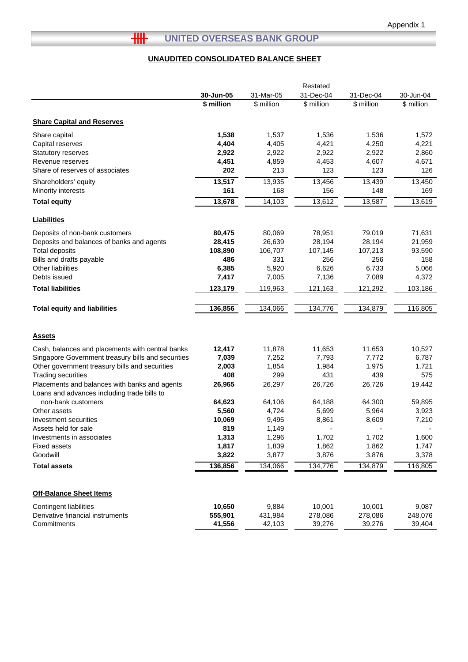# **THE UNITED OVERSEAS BANK GROUP**

## **UNAUDITED CONSOLIDATED BALANCE SHEET**

|                                                                                              |            |            | Restated   |            |            |
|----------------------------------------------------------------------------------------------|------------|------------|------------|------------|------------|
|                                                                                              | 30-Jun-05  | 31-Mar-05  | 31-Dec-04  | 31-Dec-04  | 30-Jun-04  |
|                                                                                              | \$ million | \$ million | \$ million | \$ million | \$ million |
| <b>Share Capital and Reserves</b>                                                            |            |            |            |            |            |
| Share capital                                                                                | 1,538      | 1,537      | 1,536      | 1,536      | 1,572      |
| Capital reserves                                                                             | 4,404      | 4,405      | 4,421      | 4,250      | 4,221      |
| <b>Statutory reserves</b>                                                                    | 2,922      | 2,922      | 2,922      | 2,922      | 2,860      |
| Revenue reserves                                                                             | 4,451      | 4,859      | 4,453      | 4,607      | 4,671      |
| Share of reserves of associates                                                              | 202        | 213        | 123        | 123        | 126        |
| Shareholders' equity                                                                         | 13,517     | 13,935     | 13,456     | 13,439     | 13,450     |
| Minority interests                                                                           | 161        | 168        | 156        | 148        | 169        |
| <b>Total equity</b>                                                                          | 13,678     | 14,103     | 13,612     | 13,587     | 13,619     |
| <b>Liabilities</b>                                                                           |            |            |            |            |            |
| Deposits of non-bank customers                                                               | 80,475     | 80,069     | 78,951     | 79,019     | 71,631     |
| Deposits and balances of banks and agents                                                    | 28,415     | 26,639     | 28,194     | 28,194     | 21,959     |
| <b>Total deposits</b>                                                                        | 108,890    | 106,707    | 107,145    | 107,213    | 93,590     |
| Bills and drafts payable                                                                     | 486        | 331        | 256        | 256        | 158        |
| Other liabilities                                                                            | 6,385      | 5,920      | 6,626      | 6,733      | 5,066      |
| Debts issued                                                                                 | 7,417      | 7,005      | 7,136      | 7,089      | 4,372      |
| <b>Total liabilities</b>                                                                     | 123,179    | 119,963    | 121,163    | 121,292    | 103,186    |
|                                                                                              | 136,856    |            |            | 134,879    |            |
| <b>Total equity and liabilities</b>                                                          |            | 134,066    | 134,776    |            | 116,805    |
|                                                                                              |            |            |            |            |            |
| <b>Assets</b>                                                                                |            |            |            |            |            |
| Cash, balances and placements with central banks                                             | 12,417     | 11,878     | 11,653     | 11,653     | 10,527     |
| Singapore Government treasury bills and securities                                           | 7,039      | 7,252      | 7,793      | 7,772      | 6,787      |
| Other government treasury bills and securities                                               | 2,003      | 1,854      | 1,984      | 1,975      | 1,721      |
| <b>Trading securities</b>                                                                    | 408        | 299        | 431        | 439        | 575        |
| Placements and balances with banks and agents<br>Loans and advances including trade bills to | 26,965     | 26,297     | 26,726     | 26,726     | 19,442     |
| non-bank customers                                                                           | 64,623     | 64,106     | 64,188     | 64,300     | 59,895     |
| Other assets                                                                                 | 5,560      | 4,724      | 5,699      | 5,964      | 3,923      |
| Investment securities                                                                        | 10,069     | 9,495      | 8,861      | 8,609      | 7,210      |
| Assets held for sale                                                                         | 819        | 1,149      |            |            |            |
| Investments in associates                                                                    | 1,313      | 1,296      | 1,702      | 1,702      | 1,600      |
| <b>Fixed assets</b>                                                                          | 1,817      | 1,839      | 1,862      | 1,862      | 1,747      |
| Goodwill                                                                                     | 3,822      | 3,877      | 3,876      | 3,876      | 3,378      |
| <b>Total assets</b>                                                                          | 136,856    | 134,066    | 134,776    | 134,879    | 116,805    |
|                                                                                              |            |            |            |            |            |
| <b>Off-Balance Sheet Items</b>                                                               |            |            |            |            |            |
| <b>Contingent liabilities</b>                                                                | 10,650     | 9,884      | 10,001     | 10,001     | 9,087      |
| Derivative financial instruments                                                             | 555,901    | 431,984    | 278,086    | 278,086    | 248,076    |
| Commitments                                                                                  | 41,556     | 42,103     | 39,276     | 39,276     | 39,404     |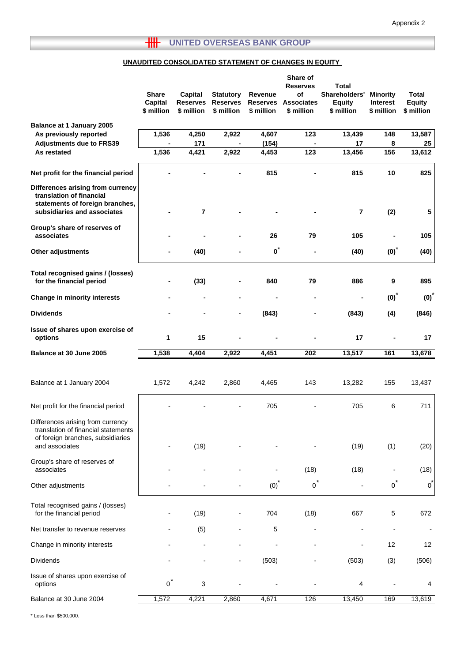## **THE UNITED OVERSEAS BANK GROUP**

## **UNAUDITED CONSOLIDATED STATEMENT OF CHANGES IN EQUITY**

|                                                                                                  |                |                 |                  |                 | Share of<br><b>Reserves</b> | <b>Total</b>                 |                  |                  |
|--------------------------------------------------------------------------------------------------|----------------|-----------------|------------------|-----------------|-----------------------------|------------------------------|------------------|------------------|
|                                                                                                  | <b>Share</b>   | Capital         | <b>Statutory</b> | Revenue         | of                          | Shareholders'                | <b>Minority</b>  | <b>Total</b>     |
|                                                                                                  | Capital        | <b>Reserves</b> | <b>Reserves</b>  | <b>Reserves</b> | <b>Associates</b>           | <b>Equity</b>                | <b>Interest</b>  | <b>Equity</b>    |
|                                                                                                  | \$ million     | \$ million      | \$ million       | \$ million      | \$ million                  | \$ million                   | \$ million       | \$ million       |
| Balance at 1 January 2005                                                                        |                |                 |                  |                 |                             |                              |                  |                  |
| As previously reported                                                                           | 1,536          | 4,250           | 2,922            | 4,607           | 123                         | 13,439                       | 148              | 13,587           |
| <b>Adjustments due to FRS39</b>                                                                  |                | 171             |                  | (154)           |                             | 17                           | 8                | 25               |
| As restated                                                                                      | 1,536          | 4,421           | 2,922            | 4,453           | 123                         | 13,456                       | 156              | 13,612           |
|                                                                                                  |                |                 |                  |                 |                             |                              |                  |                  |
| Net profit for the financial period                                                              |                |                 |                  | 815             |                             | 815                          | 10               | 825              |
| Differences arising from currency<br>translation of financial<br>statements of foreign branches, |                |                 |                  |                 |                             |                              |                  |                  |
| subsidiaries and associates                                                                      |                | 7               |                  |                 |                             | $\overline{\mathbf{r}}$      | (2)              | 5                |
| Group's share of reserves of<br>associates                                                       |                |                 |                  | 26              | 79                          | 105                          |                  | 105              |
|                                                                                                  |                |                 |                  |                 |                             |                              |                  |                  |
| Other adjustments                                                                                |                | (40)            |                  | $\mathbf{0}^*$  |                             | (40)                         | $(0)*$           | (40)             |
| Total recognised gains / (losses)<br>for the financial period                                    |                | (33)            |                  | 840             | 79                          | 886                          | 9                | 895              |
|                                                                                                  |                |                 |                  |                 |                             |                              |                  |                  |
| <b>Change in minority interests</b>                                                              |                |                 |                  |                 |                             | $\qquad \qquad \blacksquare$ | $(0)*$           | (0) <sup>1</sup> |
| <b>Dividends</b>                                                                                 |                |                 |                  | (843)           |                             | (843)                        | (4)              | (846)            |
| Issue of shares upon exercise of<br>options                                                      | 1              | 15              |                  |                 |                             | 17                           |                  | 17               |
| Balance at 30 June 2005                                                                          | 1,538          | 4,404           | 2,922            | 4,451           | 202                         | 13,517                       | 161              | 13,678           |
|                                                                                                  |                |                 |                  |                 |                             |                              |                  |                  |
| Balance at 1 January 2004                                                                        | 1,572          | 4,242           | 2,860            | 4,465           | 143                         | 13,282                       | 155              | 13,437           |
|                                                                                                  |                |                 |                  |                 |                             |                              |                  |                  |
| Net profit for the financial period                                                              |                |                 |                  | 705             |                             | 705                          | 6                | 711              |
| Differences arising from currency<br>translation of financial statements                         |                |                 |                  |                 |                             |                              |                  |                  |
| of foreign branches, subsidiaries                                                                |                |                 |                  |                 |                             |                              |                  |                  |
| and associates                                                                                   |                | (19)            |                  |                 |                             | (19)                         | (1)              | (20)             |
| Group's share of reserves of<br>associates                                                       |                |                 |                  |                 | (18)                        | (18)                         |                  | (18)             |
|                                                                                                  |                |                 |                  | $(0)*$          | $\circ$ <sup>*</sup>        |                              | $\overline{0}^*$ | $o^*$            |
| Other adjustments                                                                                |                |                 |                  |                 |                             |                              |                  |                  |
| Total recognised gains / (losses)<br>for the financial period                                    |                | (19)            |                  | 704             | (18)                        | 667                          | 5                | 672              |
|                                                                                                  |                |                 |                  |                 |                             |                              |                  |                  |
| Net transfer to revenue reserves                                                                 |                | (5)             |                  | 5               |                             |                              |                  |                  |
| Change in minority interests                                                                     |                |                 |                  |                 |                             |                              | 12               | 12               |
| <b>Dividends</b>                                                                                 |                |                 |                  | (503)           |                             | (503)                        | (3)              | (506)            |
| Issue of shares upon exercise of<br>options                                                      | $\overline{0}$ | 3               |                  |                 |                             | 4                            |                  | 4                |
| Balance at 30 June 2004                                                                          | 1,572          | 4,221           | 2,860            | 4,671           | 126                         | 13,450                       | 169              | 13,619           |
|                                                                                                  |                |                 |                  |                 |                             |                              |                  |                  |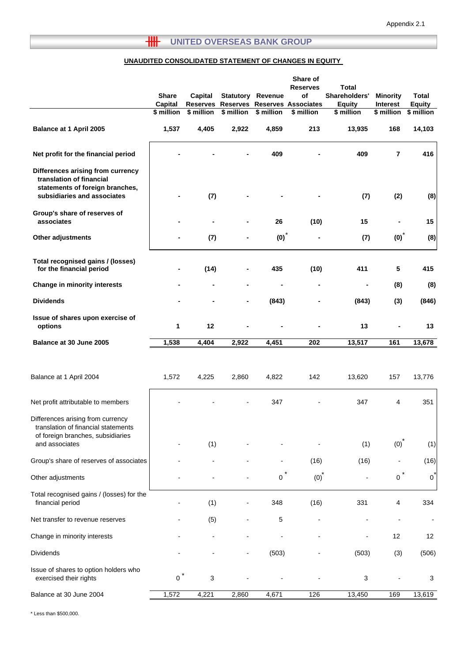## **THE UNITED OVERSEAS BANK GROUP**

#### **UNAUDITED CONSOLIDATED STATEMENT OF CHANGES IN EQUITY**

|                                                                                                                                 |                |                 |                          |                          | Share of<br><b>Reserves</b>         | <b>Total</b>  |                 |                          |
|---------------------------------------------------------------------------------------------------------------------------------|----------------|-----------------|--------------------------|--------------------------|-------------------------------------|---------------|-----------------|--------------------------|
|                                                                                                                                 | <b>Share</b>   | Capital         |                          | <b>Statutory Revenue</b> | of                                  | Shareholders' | <b>Minority</b> | <b>Total</b>             |
|                                                                                                                                 | <b>Capital</b> | <b>Reserves</b> |                          |                          | <b>Reserves Reserves Associates</b> | <b>Equity</b> | Interest        | <b>Equity</b>            |
|                                                                                                                                 | \$ million     | \$ million      | \$ million               | \$ million               | $$$ million                         | \$ million    | \$ million      | \$ million               |
| Balance at 1 April 2005                                                                                                         | 1,537          | 4,405           | 2,922                    | 4,859                    | 213                                 | 13,935        | 168             | 14,103                   |
| Net profit for the financial period                                                                                             |                |                 |                          | 409                      |                                     | 409           | $\overline{7}$  | 416                      |
| Differences arising from currency<br>translation of financial<br>statements of foreign branches,<br>subsidiaries and associates |                | (7)             |                          |                          |                                     | (7)           | (2)             | (8)                      |
| Group's share of reserves of<br>associates                                                                                      |                |                 |                          | 26                       | (10)                                | 15            |                 | 15                       |
| Other adjustments                                                                                                               |                | (7)             |                          | $(0)^*$                  |                                     | (7)           | (0)             | (8)                      |
| Total recognised gains / (losses)<br>for the financial period                                                                   | $\blacksquare$ | (14)            |                          | 435                      | (10)                                | 411           | 5               | 415                      |
| Change in minority interests                                                                                                    |                |                 | -                        |                          | ٠                                   |               | (8)             | (8)                      |
| <b>Dividends</b>                                                                                                                |                |                 |                          | (843)                    |                                     | (843)         | (3)             | (846)                    |
| Issue of shares upon exercise of<br>options                                                                                     | 1              | 12              |                          |                          |                                     | 13            |                 | 13                       |
| Balance at 30 June 2005                                                                                                         | 1,538          | 4,404           | 2,922                    | 4,451                    | 202                                 | 13,517        | 161             | 13,678                   |
| Balance at 1 April 2004                                                                                                         | 1,572          | 4,225           | 2,860                    | 4,822                    | 142                                 | 13,620        | 157             | 13,776                   |
| Net profit attributable to members                                                                                              |                |                 |                          | 347                      |                                     | 347           | 4               | 351                      |
| Differences arising from currency<br>translation of financial statements<br>of foreign branches, subsidiaries<br>and associates |                | (1)             |                          |                          |                                     | (1)           | (0)             | (1)                      |
|                                                                                                                                 |                |                 |                          |                          |                                     |               |                 |                          |
| Group's share of reserves of associates                                                                                         |                |                 |                          |                          | (16)                                | (16)          |                 | (16)                     |
| Other adjustments                                                                                                               |                |                 |                          | 0                        | $(0)*$                              |               | $\mathbf 0$     | $0^*$                    |
| Total recognised gains / (losses) for the<br>financial period                                                                   |                | (1)             |                          | 348                      | (16)                                | 331           | 4               | 334                      |
| Net transfer to revenue reserves                                                                                                |                | (5)             |                          | 5                        |                                     |               |                 | $\overline{\phantom{a}}$ |
| Change in minority interests                                                                                                    |                |                 |                          |                          |                                     |               | 12              | 12                       |
| Dividends                                                                                                                       |                |                 | $\overline{\phantom{a}}$ | (503)                    |                                     | (503)         | (3)             | (506)                    |
| Issue of shares to option holders who<br>exercised their rights                                                                 | $\mathbf{0}$   | 3               |                          |                          |                                     | 3             |                 | 3                        |
| Balance at 30 June 2004                                                                                                         | 1,572          | 4,221           | 2,860                    | 4,671                    | 126                                 | 13,450        | 169             | 13,619                   |